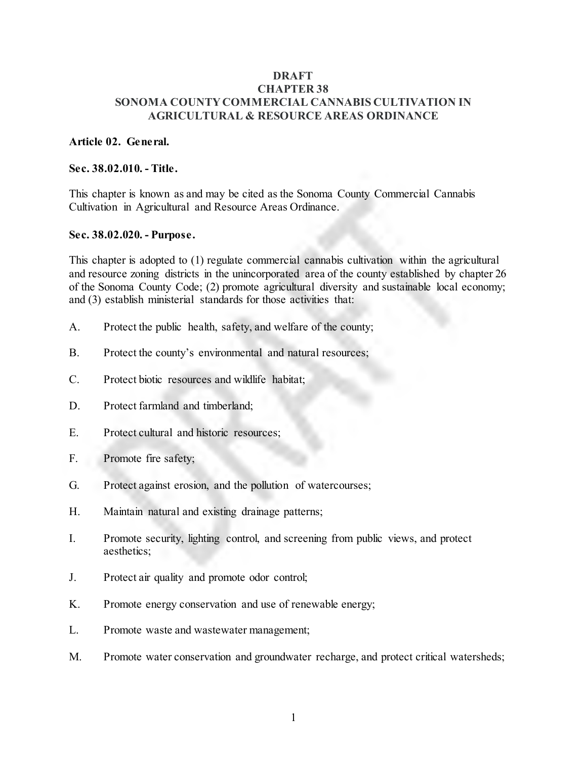#### **DRAFT CHAPTER 38 SONOMA COUNTY COMMERCIAL CANNABIS CULTIVATION IN AGRICULTURAL & RESOURCE AREAS ORDINANCE**

#### **Article 02. General.**

#### **Sec. 38.02.010. - Title.**

This chapter is known as and may be cited as the Sonoma County Commercial Cannabis Cultivation in Agricultural and Resource Areas Ordinance.

#### **Sec. 38.02.020. - Purpose.**

This chapter is adopted to (1) regulate commercial cannabis cultivation within the agricultural and resource zoning districts in the unincorporated area of the county established by chapter 26 of the Sonoma County Code; (2) promote agricultural diversity and sustainable local economy; and (3) establish ministerial standards for those activities that:

- A. Protect the public health, safety, and welfare of the county;
- B. Protect the county's environmental and natural resources;
- C. Protect biotic resources and wildlife habitat;
- D. Protect farmland and timberland;
- E. Protect cultural and historic resources;
- F. Promote fire safety;
- G. Protect against erosion, and the pollution of watercourses;
- H. Maintain natural and existing drainage patterns;
- I. Promote security, lighting control, and screening from public views, and protect aesthetics;
- J. Protect air quality and promote odor control;
- K. Promote energy conservation and use of renewable energy;
- L. Promote waste and wastewater management;
- M. Promote water conservation and groundwater recharge, and protect critical watersheds;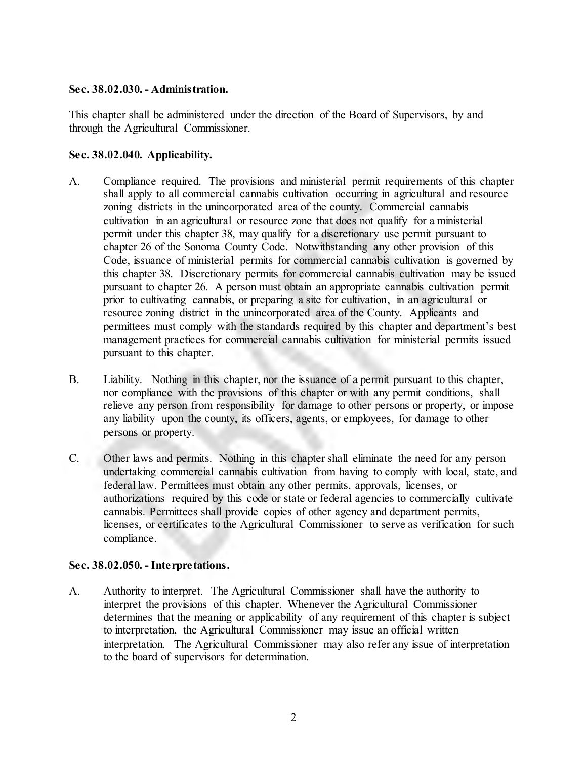#### **Sec. 38.02.030. - Administration.**

This chapter shall be administered under the direction of the Board of Supervisors, by and through the Agricultural Commissioner.

### **Sec. 38.02.040. Applicability.**

- A. Compliance required. The provisions and ministerial permit requirements of this chapter shall apply to all commercial cannabis cultivation occurring in agricultural and resource zoning districts in the unincorporated area of the county. Commercial cannabis cultivation in an agricultural or resource zone that does not qualify for a ministerial permit under this chapter 38, may qualify for a discretionary use permit pursuant to chapter 26 of the Sonoma County Code. Notwithstanding any other provision of this Code, issuance of ministerial permits for commercial cannabis cultivation is governed by this chapter 38. Discretionary permits for commercial cannabis cultivation may be issued pursuant to chapter 26. A person must obtain an appropriate cannabis cultivation permit prior to cultivating cannabis, or preparing a site for cultivation, in an agricultural or resource zoning district in the unincorporated area of the County. Applicants and permittees must comply with the standards required by this chapter and department's best management practices for commercial cannabis cultivation for ministerial permits issued pursuant to this chapter.
- B. Liability. Nothing in this chapter, nor the issuance of a permit pursuant to this chapter, nor compliance with the provisions of this chapter or with any permit conditions, shall relieve any person from responsibility for damage to other persons or property, or impose any liability upon the county, its officers, agents, or employees, for damage to other persons or property.
- C. Other laws and permits. Nothing in this chapter shall eliminate the need for any person undertaking commercial cannabis cultivation from having to comply with local, state, and federal law. Permittees must obtain any other permits, approvals, licenses, or authorizations required by this code or state or federal agencies to commercially cultivate cannabis. Permittees shall provide copies of other agency and department permits, licenses, or certificates to the Agricultural Commissioner to serve as verification for such compliance.

### **Sec. 38.02.050. - Interpretations.**

A. Authority to interpret. The Agricultural Commissioner shall have the authority to interpret the provisions of this chapter. Whenever the Agricultural Commissioner determines that the meaning or applicability of any requirement of this chapter is subject to interpretation, the Agricultural Commissioner may issue an official written interpretation. The Agricultural Commissioner may also refer any issue of interpretation to the board of supervisors for determination.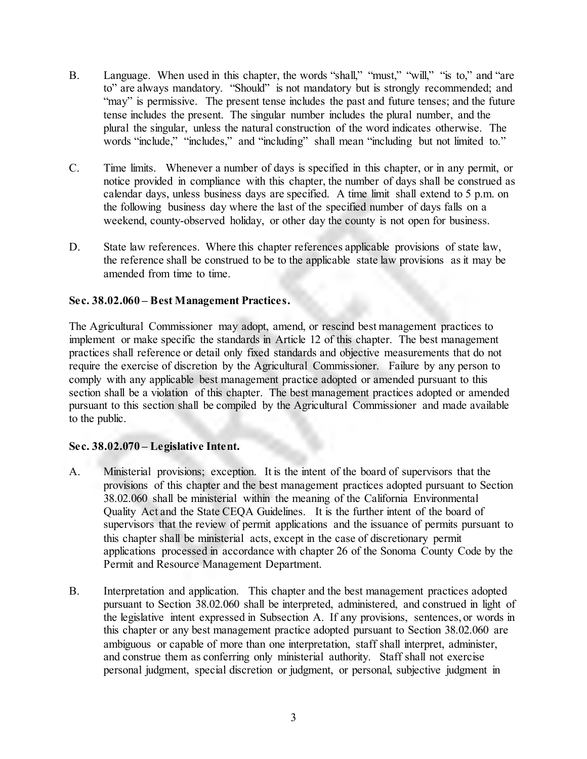- B. Language. When used in this chapter, the words "shall," "must," "will," "is to," and "are to" are always mandatory. "Should" is not mandatory but is strongly recommended; and "may" is permissive. The present tense includes the past and future tenses; and the future tense includes the present. The singular number includes the plural number, and the plural the singular, unless the natural construction of the word indicates otherwise. The words "include," "includes," and "including" shall mean "including but not limited to."
- C. Time limits. Whenever a number of days is specified in this chapter, or in any permit, or notice provided in compliance with this chapter, the number of days shall be construed as calendar days, unless business days are specified. A time limit shall extend to 5 p.m. on the following business day where the last of the specified number of days falls on a weekend, county-observed holiday, or other day the county is not open for business.
- D. State law references. Where this chapter references applicable provisions of state law, the reference shall be construed to be to the applicable state law provisions as it may be amended from time to time.

### **Sec. 38.02.060 – Best Management Practices.**

The Agricultural Commissioner may adopt, amend, or rescind best management practices to implement or make specific the standards in Article 12 of this chapter. The best management practices shall reference or detail only fixed standards and objective measurements that do not require the exercise of discretion by the Agricultural Commissioner. Failure by any person to comply with any applicable best management practice adopted or amended pursuant to this section shall be a violation of this chapter. The best management practices adopted or amended pursuant to this section shall be compiled by the Agricultural Commissioner and made available to the public.

### **Sec. 38.02.070 – Legislative Intent.**

- A. Ministerial provisions; exception. It is the intent of the board of supervisors that the provisions of this chapter and the best management practices adopted pursuant to Section 38.02.060 shall be ministerial within the meaning of the California Environmental Quality Act and the State CEQA Guidelines. It is the further intent of the board of supervisors that the review of permit applications and the issuance of permits pursuant to this chapter shall be ministerial acts, except in the case of discretionary permit applications processed in accordance with chapter 26 of the Sonoma County Code by the Permit and Resource Management Department.
- B. Interpretation and application. This chapter and the best management practices adopted pursuant to Section 38.02.060 shall be interpreted, administered, and construed in light of the legislative intent expressed in Subsection A. If any provisions, sentences, or words in this chapter or any best management practice adopted pursuant to Section 38.02.060 are ambiguous or capable of more than one interpretation, staff shall interpret, administer, and construe them as conferring only ministerial authority. Staff shall not exercise personal judgment, special discretion or judgment, or personal, subjective judgment in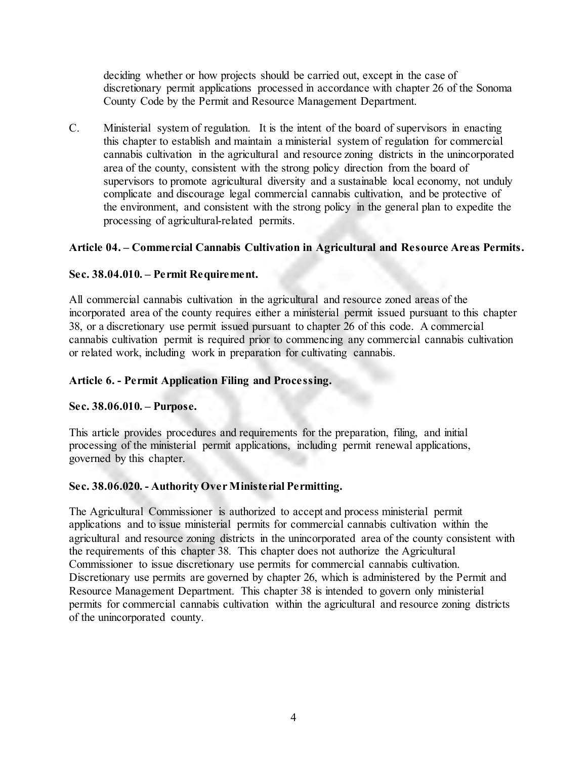deciding whether or how projects should be carried out, except in the case of discretionary permit applications processed in accordance with chapter 26 of the Sonoma County Code by the Permit and Resource Management Department.

C. Ministerial system of regulation. It is the intent of the board of supervisors in enacting this chapter to establish and maintain a ministerial system of regulation for commercial cannabis cultivation in the agricultural and resource zoning districts in the unincorporated area of the county, consistent with the strong policy direction from the board of supervisors to promote agricultural diversity and a sustainable local economy, not unduly complicate and discourage legal commercial cannabis cultivation, and be protective of the environment, and consistent with the strong policy in the general plan to expedite the processing of agricultural-related permits.

## **Article 04. – Commercial Cannabis Cultivation in Agricultural and Resource Areas Permits.**

### **Sec. 38.04.010. – Permit Requirement.**

All commercial cannabis cultivation in the agricultural and resource zoned areas of the incorporated area of the county requires either a ministerial permit issued pursuant to this chapter 38, or a discretionary use permit issued pursuant to chapter 26 of this code. A commercial cannabis cultivation permit is required prior to commencing any commercial cannabis cultivation or related work, including work in preparation for cultivating cannabis.

### **Article 6. - Permit Application Filing and Processing.**

### **Sec. 38.06.010. – Purpose.**

This article provides procedures and requirements for the preparation, filing, and initial processing of the ministerial permit applications, including permit renewal applications, governed by this chapter.

### **Sec. 38.06.020. - Authority Over Ministerial Permitting.**

The Agricultural Commissioner is authorized to accept and process ministerial permit applications and to issue ministerial permits for commercial cannabis cultivation within the agricultural and resource zoning districts in the unincorporated area of the county consistent with the requirements of this chapter 38. This chapter does not authorize the Agricultural Commissioner to issue discretionary use permits for commercial cannabis cultivation. Discretionary use permits are governed by chapter 26, which is administered by the Permit and Resource Management Department. This chapter 38 is intended to govern only ministerial permits for commercial cannabis cultivation within the agricultural and resource zoning districts of the unincorporated county.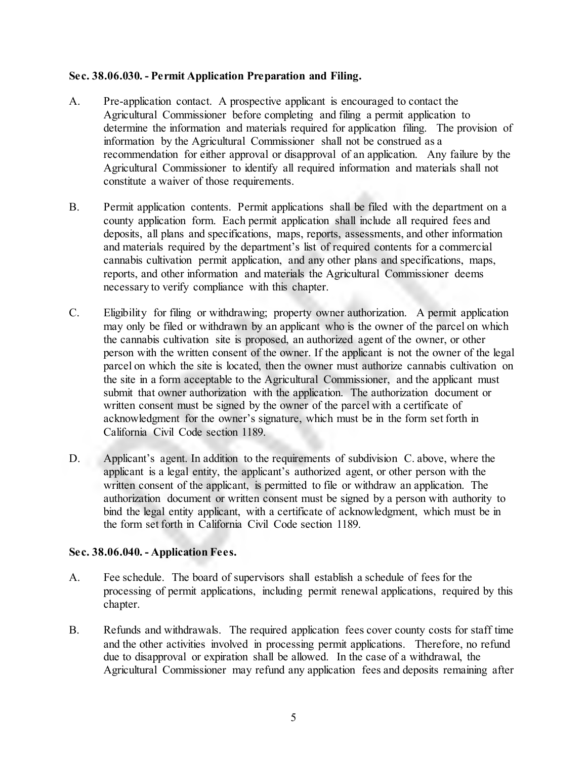### **Sec. 38.06.030. - Permit Application Preparation and Filing.**

- A. Pre-application contact. A prospective applicant is encouraged to contact the Agricultural Commissioner before completing and filing a permit application to determine the information and materials required for application filing. The provision of information by the Agricultural Commissioner shall not be construed as a recommendation for either approval or disapproval of an application. Any failure by the Agricultural Commissioner to identify all required information and materials shall not constitute a waiver of those requirements.
- B. Permit application contents. Permit applications shall be filed with the department on a county application form. Each permit application shall include all required fees and deposits, all plans and specifications, maps, reports, assessments, and other information and materials required by the department's list of required contents for a commercial cannabis cultivation permit application, and any other plans and specifications, maps, reports, and other information and materials the Agricultural Commissioner deems necessary to verify compliance with this chapter.
- C. Eligibility for filing or withdrawing; property owner authorization. A permit application may only be filed or withdrawn by an applicant who is the owner of the parcel on which the cannabis cultivation site is proposed, an authorized agent of the owner, or other person with the written consent of the owner. If the applicant is not the owner of the legal parcel on which the site is located, then the owner must authorize cannabis cultivation on the site in a form acceptable to the Agricultural Commissioner, and the applicant must submit that owner authorization with the application. The authorization document or written consent must be signed by the owner of the parcel with a certificate of acknowledgment for the owner's signature, which must be in the form set forth in California Civil Code section 1189.
- D. Applicant's agent. In addition to the requirements of subdivision C. above, where the applicant is a legal entity, the applicant's authorized agent, or other person with the written consent of the applicant, is permitted to file or withdraw an application. The authorization document or written consent must be signed by a person with authority to bind the legal entity applicant, with a certificate of acknowledgment, which must be in the form set forth in California Civil Code section 1189.

## **Sec. 38.06.040. - Application Fees.**

- A. Fee schedule. The board of supervisors shall establish a schedule of fees for the processing of permit applications, including permit renewal applications, required by this chapter.
- B. Refunds and withdrawals. The required application fees cover county costs for staff time and the other activities involved in processing permit applications. Therefore, no refund due to disapproval or expiration shall be allowed. In the case of a withdrawal, the Agricultural Commissioner may refund any application fees and deposits remaining after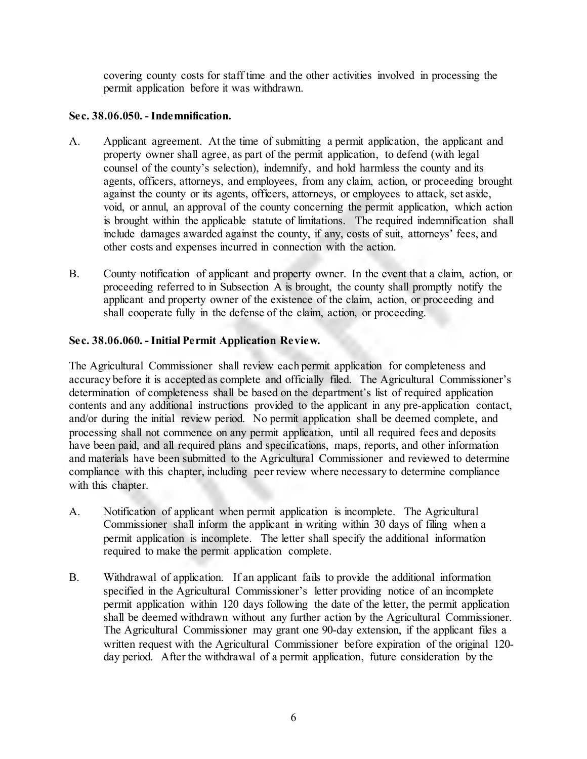covering county costs for staff time and the other activities involved in processing the permit application before it was withdrawn.

### **Sec. 38.06.050. - Indemnification.**

- A. Applicant agreement. At the time of submitting a permit application, the applicant and property owner shall agree, as part of the permit application, to defend (with legal counsel of the county's selection), indemnify, and hold harmless the county and its agents, officers, attorneys, and employees, from any claim, action, or proceeding brought against the county or its agents, officers, attorneys, or employees to attack, set aside, void, or annul, an approval of the county concerning the permit application, which action is brought within the applicable statute of limitations. The required indemnification shall include damages awarded against the county, if any, costs of suit, attorneys' fees, and other costs and expenses incurred in connection with the action.
- B. County notification of applicant and property owner. In the event that a claim, action, or proceeding referred to in Subsection A is brought, the county shall promptly notify the applicant and property owner of the existence of the claim, action, or proceeding and shall cooperate fully in the defense of the claim, action, or proceeding.

## **Sec. 38.06.060. - Initial Permit Application Review.**

The Agricultural Commissioner shall review each permit application for completeness and accuracy before it is accepted as complete and officially filed. The Agricultural Commissioner's determination of completeness shall be based on the department's list of required application contents and any additional instructions provided to the applicant in any pre-application contact, and/or during the initial review period. No permit application shall be deemed complete, and processing shall not commence on any permit application, until all required fees and deposits have been paid, and all required plans and specifications, maps, reports, and other information and materials have been submitted to the Agricultural Commissioner and reviewed to determine compliance with this chapter, including peer review where necessary to determine compliance with this chapter.

- A. Notification of applicant when permit application is incomplete. The Agricultural Commissioner shall inform the applicant in writing within 30 days of filing when a permit application is incomplete. The letter shall specify the additional information required to make the permit application complete.
- B. Withdrawal of application. If an applicant fails to provide the additional information specified in the Agricultural Commissioner's letter providing notice of an incomplete permit application within 120 days following the date of the letter, the permit application shall be deemed withdrawn without any further action by the Agricultural Commissioner. The Agricultural Commissioner may grant one 90-day extension, if the applicant files a written request with the Agricultural Commissioner before expiration of the original 120 day period. After the withdrawal of a permit application, future consideration by the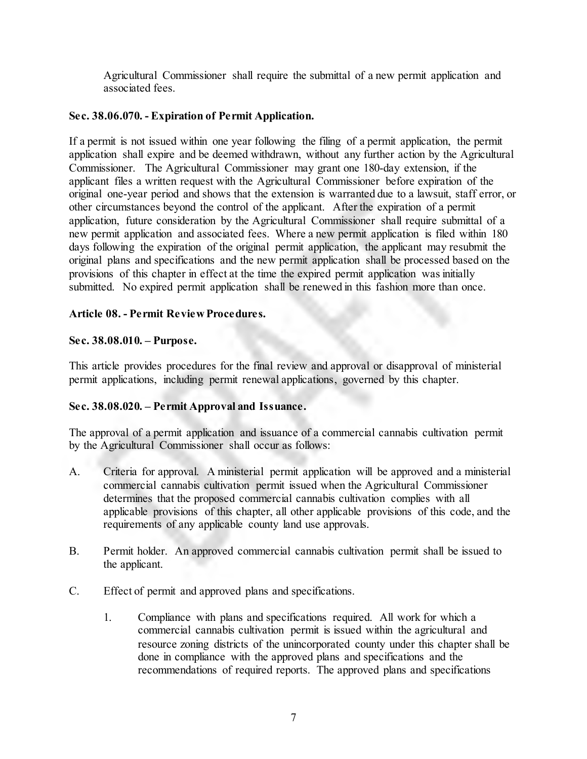Agricultural Commissioner shall require the submittal of a new permit application and associated fees.

## **Sec. 38.06.070. - Expiration of Permit Application.**

If a permit is not issued within one year following the filing of a permit application, the permit application shall expire and be deemed withdrawn, without any further action by the Agricultural Commissioner. The Agricultural Commissioner may grant one 180-day extension, if the applicant files a written request with the Agricultural Commissioner before expiration of the original one-year period and shows that the extension is warranted due to a lawsuit, staff error, or other circumstances beyond the control of the applicant. After the expiration of a permit application, future consideration by the Agricultural Commissioner shall require submittal of a new permit application and associated fees. Where a new permit application is filed within 180 days following the expiration of the original permit application, the applicant may resubmit the original plans and specifications and the new permit application shall be processed based on the provisions of this chapter in effect at the time the expired permit application was initially submitted. No expired permit application shall be renewed in this fashion more than once.

## **Article 08. - Permit Review Procedures.**

## **Sec. 38.08.010. – Purpose.**

This article provides procedures for the final review and approval or disapproval of ministerial permit applications, including permit renewal applications, governed by this chapter.

## **Sec. 38.08.020. – Permit Approval and Issuance.**

The approval of a permit application and issuance of a commercial cannabis cultivation permit by the Agricultural Commissioner shall occur as follows:

- A. Criteria for approval. A ministerial permit application will be approved and a ministerial commercial cannabis cultivation permit issued when the Agricultural Commissioner determines that the proposed commercial cannabis cultivation complies with all applicable provisions of this chapter, all other applicable provisions of this code, and the requirements of any applicable county land use approvals.
- B. Permit holder. An approved commercial cannabis cultivation permit shall be issued to the applicant.
- C. Effect of permit and approved plans and specifications.
	- 1. Compliance with plans and specifications required. All work for which a commercial cannabis cultivation permit is issued within the agricultural and resource zoning districts of the unincorporated county under this chapter shall be done in compliance with the approved plans and specifications and the recommendations of required reports. The approved plans and specifications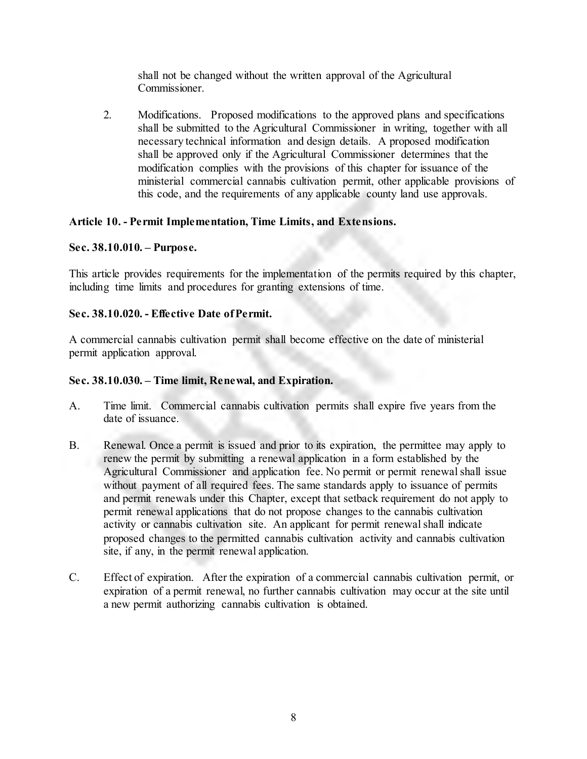shall not be changed without the written approval of the Agricultural Commissioner.

2. Modifications. Proposed modifications to the approved plans and specifications shall be submitted to the Agricultural Commissioner in writing, together with all necessary technical information and design details. A proposed modification shall be approved only if the Agricultural Commissioner determines that the modification complies with the provisions of this chapter for issuance of the ministerial commercial cannabis cultivation permit, other applicable provisions of this code, and the requirements of any applicable county land use approvals.

## **Article 10. - Permit Implementation, Time Limits, and Extensions.**

## **Sec. 38.10.010. – Purpose.**

This article provides requirements for the implementation of the permits required by this chapter, including time limits and procedures for granting extensions of time.

# **Sec. 38.10.020. - Effective Date of Permit.**

A commercial cannabis cultivation permit shall become effective on the date of ministerial permit application approval.

## **Sec. 38.10.030. – Time limit, Renewal, and Expiration.**

- A. Time limit. Commercial cannabis cultivation permits shall expire five years from the date of issuance.
- B. Renewal. Once a permit is issued and prior to its expiration, the permittee may apply to renew the permit by submitting a renewal application in a form established by the Agricultural Commissioner and application fee. No permit or permit renewal shall issue without payment of all required fees. The same standards apply to issuance of permits and permit renewals under this Chapter, except that setback requirement do not apply to permit renewal applications that do not propose changes to the cannabis cultivation activity or cannabis cultivation site. An applicant for permit renewal shall indicate proposed changes to the permitted cannabis cultivation activity and cannabis cultivation site, if any, in the permit renewal application.
- C. Effect of expiration. After the expiration of a commercial cannabis cultivation permit, or expiration of a permit renewal, no further cannabis cultivation may occur at the site until a new permit authorizing cannabis cultivation is obtained.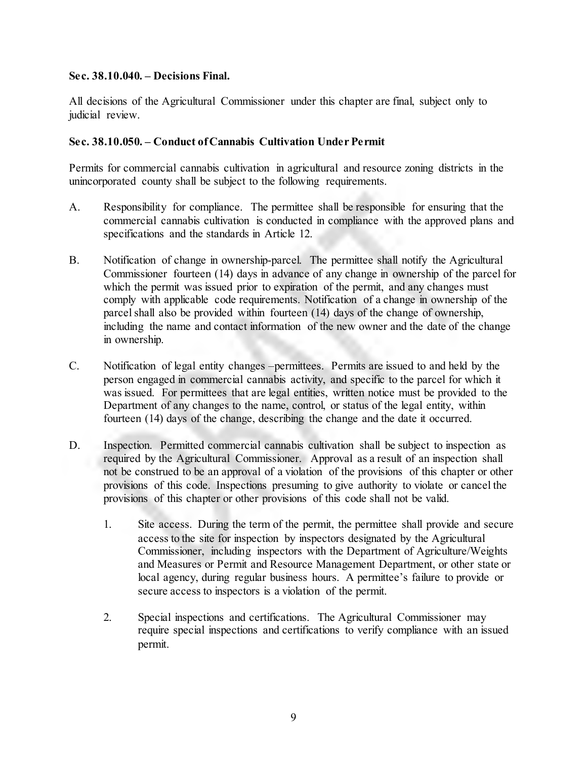#### **Sec. 38.10.040. – Decisions Final.**

All decisions of the Agricultural Commissioner under this chapter are final, subject only to judicial review.

### **Sec. 38.10.050. – Conduct of Cannabis Cultivation Under Permit**

Permits for commercial cannabis cultivation in agricultural and resource zoning districts in the unincorporated county shall be subject to the following requirements.

- A. Responsibility for compliance. The permittee shall be responsible for ensuring that the commercial cannabis cultivation is conducted in compliance with the approved plans and specifications and the standards in Article 12.
- B. Notification of change in ownership-parcel. The permittee shall notify the Agricultural Commissioner fourteen (14) days in advance of any change in ownership of the parcel for which the permit was issued prior to expiration of the permit, and any changes must comply with applicable code requirements. Notification of a change in ownership of the parcel shall also be provided within fourteen (14) days of the change of ownership, including the name and contact information of the new owner and the date of the change in ownership.
- C. Notification of legal entity changes –permittees. Permits are issued to and held by the person engaged in commercial cannabis activity, and specific to the parcel for which it was issued. For permittees that are legal entities, written notice must be provided to the Department of any changes to the name, control, or status of the legal entity, within fourteen (14) days of the change, describing the change and the date it occurred.
- D. Inspection. Permitted commercial cannabis cultivation shall be subject to inspection as required by the Agricultural Commissioner. Approval as a result of an inspection shall not be construed to be an approval of a violation of the provisions of this chapter or other provisions of this code. Inspections presuming to give authority to violate or cancel the provisions of this chapter or other provisions of this code shall not be valid.
	- 1. Site access. During the term of the permit, the permittee shall provide and secure access to the site for inspection by inspectors designated by the Agricultural Commissioner, including inspectors with the Department of Agriculture/Weights and Measures or Permit and Resource Management Department, or other state or local agency, during regular business hours. A permittee's failure to provide or secure access to inspectors is a violation of the permit.
	- 2. Special inspections and certifications. The Agricultural Commissioner may require special inspections and certifications to verify compliance with an issued permit.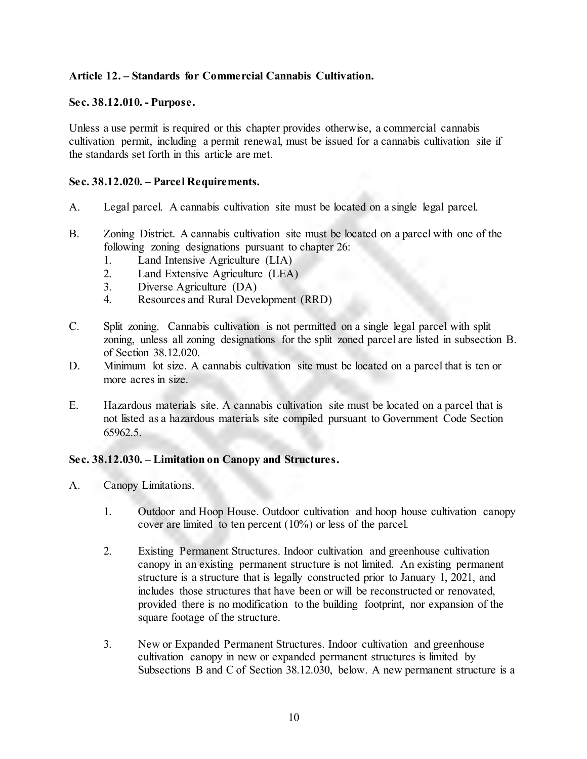### **Article 12. – Standards for Commercial Cannabis Cultivation.**

#### **Sec. 38.12.010. - Purpose.**

Unless a use permit is required or this chapter provides otherwise, a commercial cannabis cultivation permit, including a permit renewal, must be issued for a cannabis cultivation site if the standards set forth in this article are met.

#### **Sec. 38.12.020. – Parcel Requirements.**

- A. Legal parcel. A cannabis cultivation site must be located on a single legal parcel.
- B. Zoning District. A cannabis cultivation site must be located on a parcel with one of the following zoning designations pursuant to chapter 26:
	- 1. Land Intensive Agriculture (LIA)
	- 2. Land Extensive Agriculture (LEA)
	- 3. Diverse Agriculture (DA)
	- 4. Resources and Rural Development (RRD)
- C. Split zoning. Cannabis cultivation is not permitted on a single legal parcel with split zoning, unless all zoning designations for the split zoned parcel are listed in subsection B. of Section 38.12.020.
- D. Minimum lot size. A cannabis cultivation site must be located on a parcel that is ten or more acres in size.
- E. Hazardous materials site. A cannabis cultivation site must be located on a parcel that is not listed as a hazardous materials site compiled pursuant to Government Code Section 65962.5.

#### **Sec. 38.12.030. – Limitation on Canopy and Structures.**

- A. Canopy Limitations.
	- 1. Outdoor and Hoop House. Outdoor cultivation and hoop house cultivation canopy cover are limited to ten percent (10%) or less of the parcel.
	- 2. Existing Permanent Structures. Indoor cultivation and greenhouse cultivation canopy in an existing permanent structure is not limited. An existing permanent structure is a structure that is legally constructed prior to January 1, 2021, and includes those structures that have been or will be reconstructed or renovated, provided there is no modification to the building footprint, nor expansion of the square footage of the structure.
	- 3. New or Expanded Permanent Structures. Indoor cultivation and greenhouse cultivation canopy in new or expanded permanent structures is limited by Subsections B and C of Section 38.12.030, below. A new permanent structure is a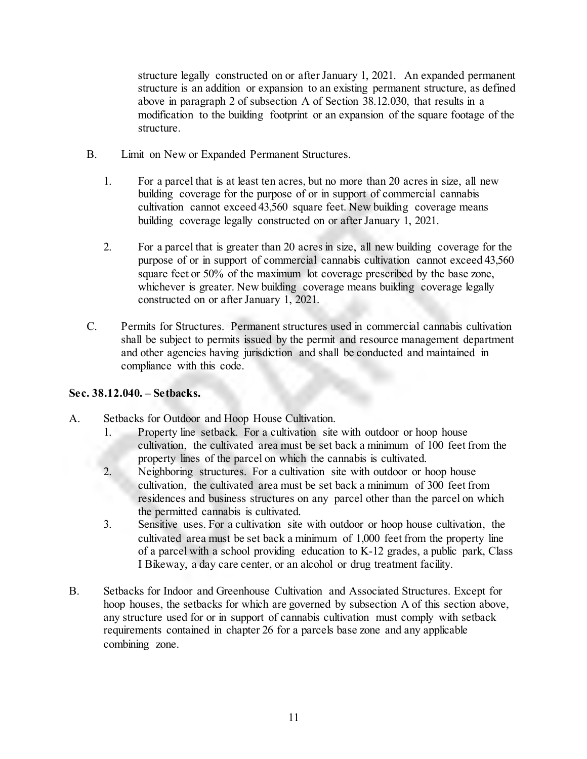structure legally constructed on or after January 1, 2021. An expanded permanent structure is an addition or expansion to an existing permanent structure, as defined above in paragraph 2 of subsection A of Section 38.12.030, that results in a modification to the building footprint or an expansion of the square footage of the structure.

- B. Limit on New or Expanded Permanent Structures.
	- 1. For a parcel that is at least ten acres, but no more than 20 acres in size, all new building coverage for the purpose of or in support of commercial cannabis cultivation cannot exceed 43,560 square feet. New building coverage means building coverage legally constructed on or after January 1, 2021.
	- 2. For a parcel that is greater than 20 acres in size, all new building coverage for the purpose of or in support of commercial cannabis cultivation cannot exceed 43,560 square feet or 50% of the maximum lot coverage prescribed by the base zone, whichever is greater. New building coverage means building coverage legally constructed on or after January 1, 2021.
- C. Permits for Structures. Permanent structures used in commercial cannabis cultivation shall be subject to permits issued by the permit and resource management department and other agencies having jurisdiction and shall be conducted and maintained in compliance with this code.

## **Sec. 38.12.040. – Setbacks.**

- A. Setbacks for Outdoor and Hoop House Cultivation.
	- 1. Property line setback. For a cultivation site with outdoor or hoop house cultivation, the cultivated area must be set back a minimum of 100 feet from the property lines of the parcel on which the cannabis is cultivated.
	- 2. Neighboring structures. For a cultivation site with outdoor or hoop house cultivation, the cultivated area must be set back a minimum of 300 feet from residences and business structures on any parcel other than the parcel on which the permitted cannabis is cultivated.
	- 3. Sensitive uses. For a cultivation site with outdoor or hoop house cultivation, the cultivated area must be set back a minimum of 1,000 feet from the property line of a parcel with a school providing education to K-12 grades, a public park, Class I Bikeway, a day care center, or an alcohol or drug treatment facility.
- B. Setbacks for Indoor and Greenhouse Cultivation and Associated Structures. Except for hoop houses, the setbacks for which are governed by subsection A of this section above, any structure used for or in support of cannabis cultivation must comply with setback requirements contained in chapter 26 for a parcels base zone and any applicable combining zone.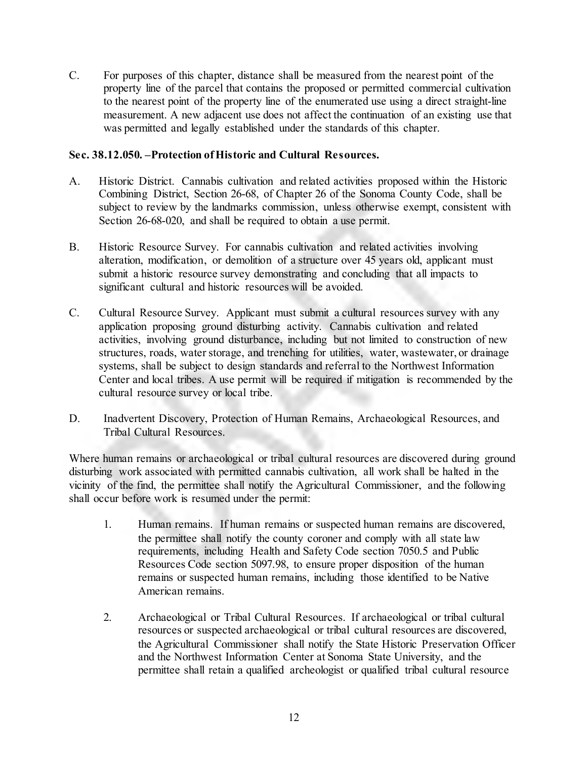C. For purposes of this chapter, distance shall be measured from the nearest point of the property line of the parcel that contains the proposed or permitted commercial cultivation to the nearest point of the property line of the enumerated use using a direct straight-line measurement. A new adjacent use does not affect the continuation of an existing use that was permitted and legally established under the standards of this chapter.

### **Sec. 38.12.050. –Protection of Historic and Cultural Resources.**

- A. Historic District. Cannabis cultivation and related activities proposed within the Historic Combining District, Section 26-68, of Chapter 26 of the Sonoma County Code, shall be subject to review by the landmarks commission, unless otherwise exempt, consistent with Section 26-68-020, and shall be required to obtain a use permit.
- B. Historic Resource Survey. For cannabis cultivation and related activities involving alteration, modification, or demolition of a structure over 45 years old, applicant must submit a historic resource survey demonstrating and concluding that all impacts to significant cultural and historic resources will be avoided.
- C. Cultural Resource Survey. Applicant must submit a cultural resources survey with any application proposing ground disturbing activity. Cannabis cultivation and related activities, involving ground disturbance, including but not limited to construction of new structures, roads, water storage, and trenching for utilities, water, wastewater, or drainage systems, shall be subject to design standards and referral to the Northwest Information Center and local tribes. A use permit will be required if mitigation is recommended by the cultural resource survey or local tribe.
- D. Inadvertent Discovery, Protection of Human Remains, Archaeological Resources, and Tribal Cultural Resources.

Where human remains or archaeological or tribal cultural resources are discovered during ground disturbing work associated with permitted cannabis cultivation, all work shall be halted in the vicinity of the find, the permittee shall notify the Agricultural Commissioner, and the following shall occur before work is resumed under the permit:

- 1. Human remains. If human remains or suspected human remains are discovered, the permittee shall notify the county coroner and comply with all state law requirements, including Health and Safety Code section 7050.5 and Public Resources Code section 5097.98, to ensure proper disposition of the human remains or suspected human remains, including those identified to be Native American remains.
- 2. Archaeological or Tribal Cultural Resources. If archaeological or tribal cultural resources or suspected archaeological or tribal cultural resources are discovered, the Agricultural Commissioner shall notify the State Historic Preservation Officer and the Northwest Information Center at Sonoma State University, and the permittee shall retain a qualified archeologist or qualified tribal cultural resource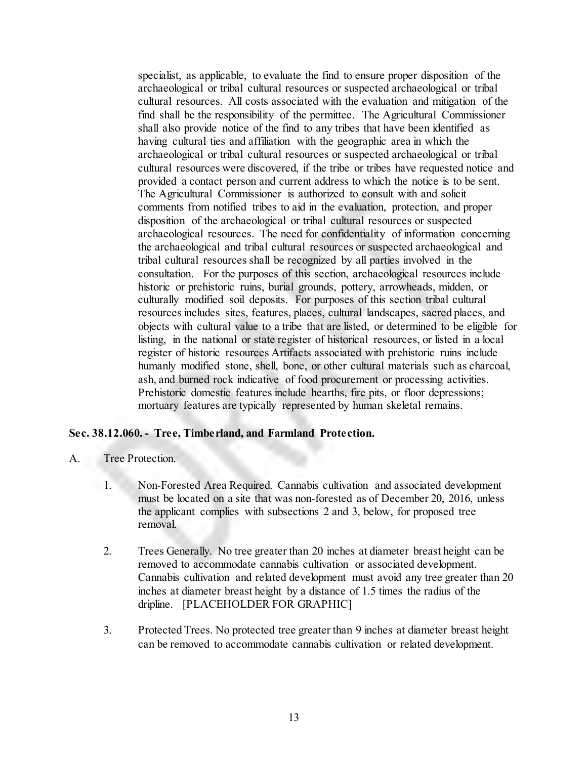specialist, as applicable, to evaluate the find to ensure proper disposition of the archaeological or tribal cultural resources or suspected archaeological or tribal cultural resources. All costs associated with the evaluation and mitigation of the find shall be the responsibility of the permittee. The Agricultural Commissioner shall also provide notice of the find to any tribes that have been identified as having cultural ties and affiliation with the geographic area in which the archaeological or tribal cultural resources or suspected archaeological or tribal cultural resources were discovered, if the tribe or tribes have requested notice and provided a contact person and current address to which the notice is to be sent. The Agricultural Commissioner is authorized to consult with and solicit comments from notified tribes to aid in the evaluation, protection, and proper disposition of the archaeological or tribal cultural resources or suspected archaeological resources. The need for confidentiality of information concerning the archaeological and tribal cultural resources or suspected archaeological and tribal cultural resources shall be recognized by all parties involved in the consultation. For the purposes of this section, archaeological resources include historic or prehistoric ruins, burial grounds, pottery, arrowheads, midden, or culturally modified soil deposits. For purposes of this section tribal cultural resources includes sites, features, places, cultural landscapes, sacred places, and objects with cultural value to a tribe that are listed, or determined to be eligible for listing, in the national or state register of historical resources, or listed in a local register of historic resources Artifacts associated with prehistoric ruins include humanly modified stone, shell, bone, or other cultural materials such as charcoal, ash, and burned rock indicative of food procurement or processing activities. Prehistoric domestic features include hearths, fire pits, or floor depressions; mortuary features are typically represented by human skeletal remains.

### **Sec. 38.12.060. - Tree, Timberland, and Farmland Protection.**

- A. Tree Protection.
	- 1. Non-Forested Area Required. Cannabis cultivation and associated development must be located on a site that was non-forested as of December 20, 2016, unless the applicant complies with subsections 2 and 3, below, for proposed tree removal.
	- 2. Trees Generally. No tree greater than 20 inches at diameter breast height can be removed to accommodate cannabis cultivation or associated development. Cannabis cultivation and related development must avoid any tree greater than 20 inches at diameter breast height by a distance of 1.5 times the radius of the dripline. [PLACEHOLDER FOR GRAPHIC]
	- 3. Protected Trees. No protected tree greater than 9 inches at diameter breast height can be removed to accommodate cannabis cultivation or related development.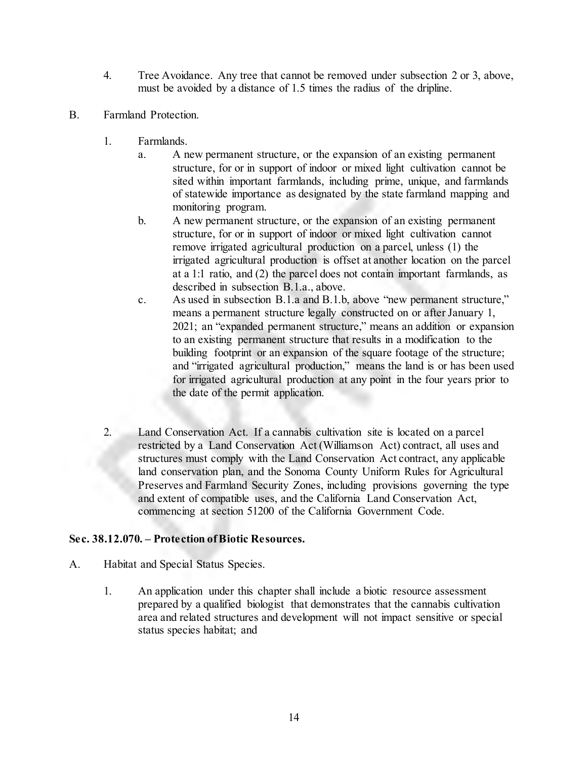- 4. Tree Avoidance. Any tree that cannot be removed under subsection 2 or 3, above, must be avoided by a distance of 1.5 times the radius of the dripline.
- B. Farmland Protection.
	- 1. Farmlands.
		- a. A new permanent structure, or the expansion of an existing permanent structure, for or in support of indoor or mixed light cultivation cannot be sited within important farmlands, including prime, unique, and farmlands of statewide importance as designated by the state farmland mapping and monitoring program.
		- b. A new permanent structure, or the expansion of an existing permanent structure, for or in support of indoor or mixed light cultivation cannot remove irrigated agricultural production on a parcel, unless (1) the irrigated agricultural production is offset at another location on the parcel at a 1:1 ratio, and (2) the parcel does not contain important farmlands, as described in subsection B.1.a., above.
		- c. As used in subsection B.1.a and B.1.b, above "new permanent structure," means a permanent structure legally constructed on or after January 1, 2021; an "expanded permanent structure," means an addition or expansion to an existing permanent structure that results in a modification to the building footprint or an expansion of the square footage of the structure; and "irrigated agricultural production," means the land is or has been used for irrigated agricultural production at any point in the four years prior to the date of the permit application.
	- 2. Land Conservation Act. If a cannabis cultivation site is located on a parcel restricted by a Land Conservation Act (Williamson Act) contract, all uses and structures must comply with the Land Conservation Act contract, any applicable land conservation plan, and the Sonoma County Uniform Rules for Agricultural Preserves and Farmland Security Zones, including provisions governing the type and extent of compatible uses, and the California Land Conservation Act, commencing at section 51200 of the California Government Code.

## **Sec. 38.12.070. – Protection of Biotic Resources.**

- A. Habitat and Special Status Species.
	- 1. An application under this chapter shall include a biotic resource assessment prepared by a qualified biologist that demonstrates that the cannabis cultivation area and related structures and development will not impact sensitive or special status species habitat; and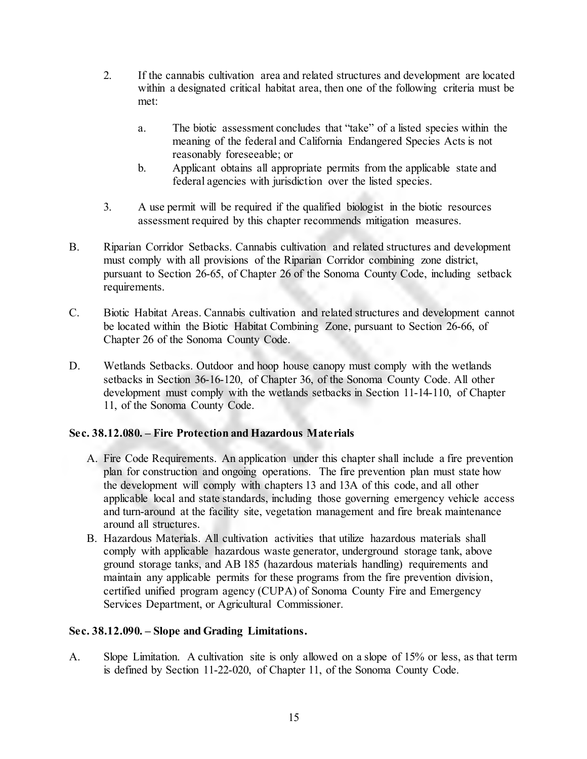- 2. If the cannabis cultivation area and related structures and development are located within a designated critical habitat area, then one of the following criteria must be met:
	- a. The biotic assessment concludes that "take" of a listed species within the meaning of the federal and California Endangered Species Acts is not reasonably foreseeable; or
	- b. Applicant obtains all appropriate permits from the applicable state and federal agencies with jurisdiction over the listed species.
- 3. A use permit will be required if the qualified biologist in the biotic resources assessment required by this chapter recommends mitigation measures.
- B. Riparian Corridor Setbacks. Cannabis cultivation and related structures and development must comply with all provisions of the Riparian Corridor combining zone district, pursuant to Section 26-65, of Chapter 26 of the Sonoma County Code, including setback requirements.
- C. Biotic Habitat Areas. Cannabis cultivation and related structures and development cannot be located within the Biotic Habitat Combining Zone, pursuant to Section 26-66, of Chapter 26 of the Sonoma County Code.
- D. Wetlands Setbacks. Outdoor and hoop house canopy must comply with the wetlands setbacks in Section 36-16-120, of Chapter 36, of the Sonoma County Code. All other development must comply with the wetlands setbacks in Section 11-14-110, of Chapter 11, of the Sonoma County Code.

## **Sec. 38.12.080. – Fire Protection and Hazardous Materials**

- A. Fire Code Requirements. An application under this chapter shall include a fire prevention plan for construction and ongoing operations. The fire prevention plan must state how the development will comply with chapters 13 and 13A of this code, and all other applicable local and state standards, including those governing emergency vehicle access and turn-around at the facility site, vegetation management and fire break maintenance around all structures.
- B. Hazardous Materials. All cultivation activities that utilize hazardous materials shall comply with applicable hazardous waste generator, underground storage tank, above ground storage tanks, and AB 185 (hazardous materials handling) requirements and maintain any applicable permits for these programs from the fire prevention division, certified unified program agency (CUPA) of Sonoma County Fire and Emergency Services Department, or Agricultural Commissioner.

### **Sec. 38.12.090. – Slope and Grading Limitations.**

A. Slope Limitation. A cultivation site is only allowed on a slope of 15% or less, as that term is defined by Section 11-22-020, of Chapter 11, of the Sonoma County Code.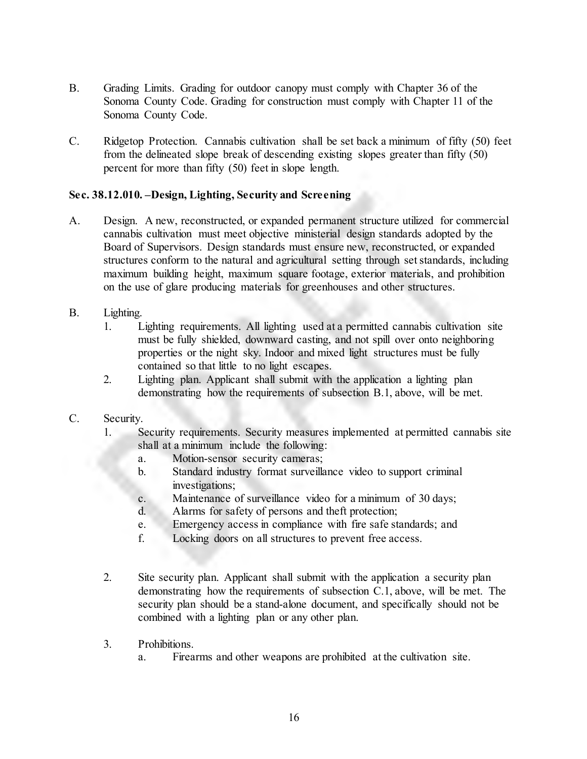- B. Grading Limits. Grading for outdoor canopy must comply with Chapter 36 of the Sonoma County Code. Grading for construction must comply with Chapter 11 of the Sonoma County Code.
- C. Ridgetop Protection. Cannabis cultivation shall be set back a minimum of fifty (50) feet from the delineated slope break of descending existing slopes greater than fifty (50) percent for more than fifty (50) feet in slope length.

### **Sec. 38.12.010. –Design, Lighting, Security and Screening**

- A. Design. A new, reconstructed, or expanded permanent structure utilized for commercial cannabis cultivation must meet objective ministerial design standards adopted by the Board of Supervisors. Design standards must ensure new, reconstructed, or expanded structures conform to the natural and agricultural setting through set standards, including maximum building height, maximum square footage, exterior materials, and prohibition on the use of glare producing materials for greenhouses and other structures.
- B. Lighting.
	- 1. Lighting requirements. All lighting used at a permitted cannabis cultivation site must be fully shielded, downward casting, and not spill over onto neighboring properties or the night sky. Indoor and mixed light structures must be fully contained so that little to no light escapes.
	- 2. Lighting plan. Applicant shall submit with the application a lighting plan demonstrating how the requirements of subsection B.1, above, will be met.

### C. Security.

- 1. Security requirements. Security measures implemented at permitted cannabis site shall at a minimum include the following:
	- a. Motion-sensor security cameras;
	- b. Standard industry format surveillance video to support criminal investigations;
	- c. Maintenance of surveillance video for a minimum of 30 days;
	- d. Alarms for safety of persons and theft protection;
	- e. Emergency access in compliance with fire safe standards; and
	- f. Locking doors on all structures to prevent free access.
- 2. Site security plan. Applicant shall submit with the application a security plan demonstrating how the requirements of subsection C.1, above, will be met. The security plan should be a stand-alone document, and specifically should not be combined with a lighting plan or any other plan.
- 3. Prohibitions.
	- a. Firearms and other weapons are prohibited at the cultivation site.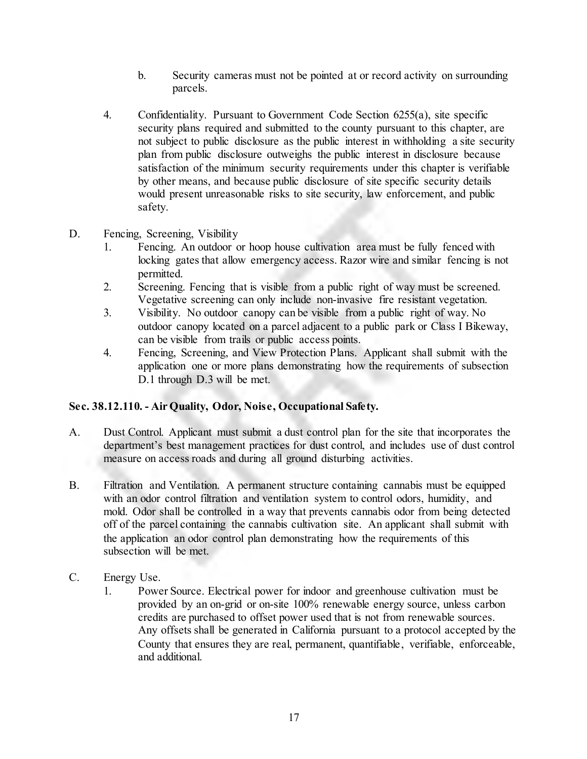- b. Security cameras must not be pointed at or record activity on surrounding parcels.
- 4. Confidentiality. Pursuant to Government Code Section 6255(a), site specific security plans required and submitted to the county pursuant to this chapter, are not subject to public disclosure as the public interest in withholding a site security plan from public disclosure outweighs the public interest in disclosure because satisfaction of the minimum security requirements under this chapter is verifiable by other means, and because public disclosure of site specific security details would present unreasonable risks to site security, law enforcement, and public safety.
- D. Fencing, Screening, Visibility
	- 1. Fencing. An outdoor or hoop house cultivation area must be fully fenced with locking gates that allow emergency access. Razor wire and similar fencing is not permitted.
	- 2. Screening. Fencing that is visible from a public right of way must be screened. Vegetative screening can only include non-invasive fire resistant vegetation.
	- 3. Visibility. No outdoor canopy can be visible from a public right of way. No outdoor canopy located on a parcel adjacent to a public park or Class I Bikeway, can be visible from trails or public access points.
	- 4. Fencing, Screening, and View Protection Plans. Applicant shall submit with the application one or more plans demonstrating how the requirements of subsection D.1 through D.3 will be met.

## **Sec. 38.12.110. - Air Quality, Odor, Noise, Occupational Safety.**

- A. Dust Control. Applicant must submit a dust control plan for the site that incorporates the department's best management practices for dust control, and includes use of dust control measure on access roads and during all ground disturbing activities.
- B. Filtration and Ventilation. A permanent structure containing cannabis must be equipped with an odor control filtration and ventilation system to control odors, humidity, and mold. Odor shall be controlled in a way that prevents cannabis odor from being detected off of the parcel containing the cannabis cultivation site. An applicant shall submit with the application an odor control plan demonstrating how the requirements of this subsection will be met.
- C. Energy Use.
	- 1. Power Source. Electrical power for indoor and greenhouse cultivation must be provided by an on-grid or on-site 100% renewable energy source, unless carbon credits are purchased to offset power used that is not from renewable sources. Any offsets shall be generated in California pursuant to a protocol accepted by the County that ensures they are real, permanent, quantifiable, verifiable, enforceable, and additional.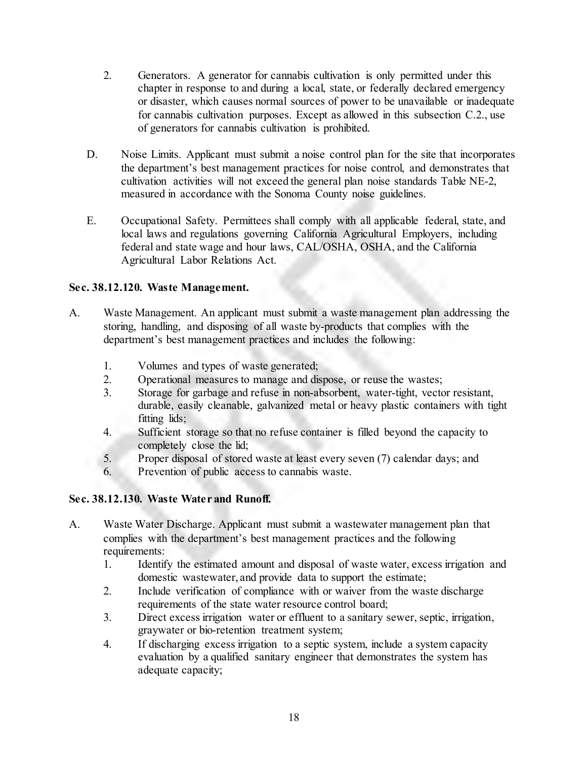- 2. Generators. A generator for cannabis cultivation is only permitted under this chapter in response to and during a local, state, or federally declared emergency or disaster, which causes normal sources of power to be unavailable or inadequate for cannabis cultivation purposes. Except as allowed in this subsection C.2., use of generators for cannabis cultivation is prohibited.
- D. Noise Limits. Applicant must submit a noise control plan for the site that incorporates the department's best management practices for noise control, and demonstrates that cultivation activities will not exceed the general plan noise standards Table NE-2, measured in accordance with the Sonoma County noise guidelines.
- E. Occupational Safety. Permittees shall comply with all applicable federal, state, and local laws and regulations governing California Agricultural Employers, including federal and state wage and hour laws, CAL/OSHA, OSHA, and the California Agricultural Labor Relations Act.

## **Sec. 38.12.120. Waste Management.**

- A. Waste Management. An applicant must submit a waste management plan addressing the storing, handling, and disposing of all waste by-products that complies with the department's best management practices and includes the following:
	- 1. Volumes and types of waste generated;
	- 2. Operational measures to manage and dispose, or reuse the wastes;
	- 3. Storage for garbage and refuse in non-absorbent, water-tight, vector resistant, durable, easily cleanable, galvanized metal or heavy plastic containers with tight fitting lids;
	- 4. Sufficient storage so that no refuse container is filled beyond the capacity to completely close the lid;
	- 5. Proper disposal of stored waste at least every seven (7) calendar days; and
	- 6. Prevention of public access to cannabis waste.

## **Sec. 38.12.130. Waste Water and Runoff.**

- A. Waste Water Discharge. Applicant must submit a wastewater management plan that complies with the department's best management practices and the following requirements:
	- 1. Identify the estimated amount and disposal of waste water, excess irrigation and domestic wastewater, and provide data to support the estimate;
	- 2. Include verification of compliance with or waiver from the waste discharge requirements of the state water resource control board;
	- 3. Direct excess irrigation water or effluent to a sanitary sewer, septic, irrigation, graywater or bio-retention treatment system;
	- 4. If discharging excess irrigation to a septic system, include a system capacity evaluation by a qualified sanitary engineer that demonstrates the system has adequate capacity;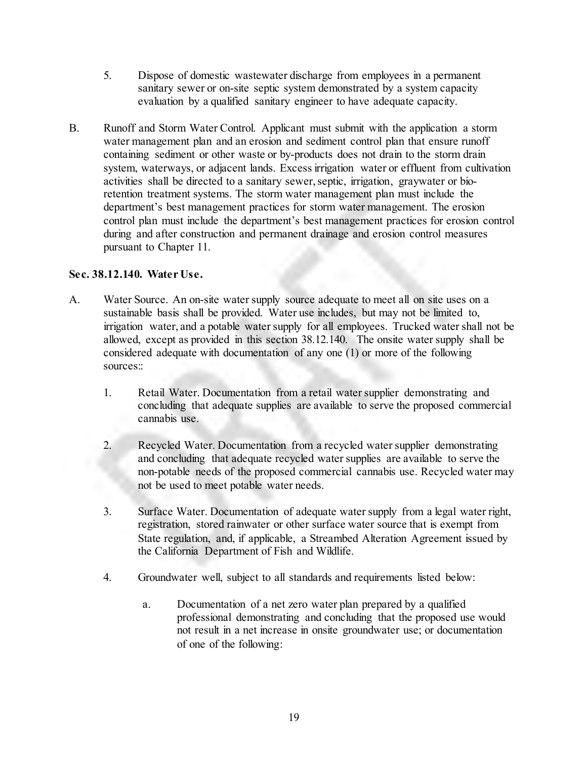- 5. Dispose of domestic wastewater discharge from employees in a permanent sanitary sewer or on-site septic system demonstrated by a system capacity evaluation by a qualified sanitary engineer to have adequate capacity.
- B. Runoff and Storm Water Control. Applicant must submit with the application a storm water management plan and an erosion and sediment control plan that ensure runoff containing sediment or other waste or by-products does not drain to the storm drain system, waterways, or adjacent lands. Excess irrigation water or effluent from cultivation activities shall be directed to a sanitary sewer, septic, irrigation, graywater or bioretention treatment systems. The storm water management plan must include the department's best management practices for storm water management. The erosion control plan must include the department's best management practices for erosion control during and after construction and permanent drainage and erosion control measures pursuant to Chapter 11.

### **Sec. 38.12.140. Water Use.**

- A. Water Source. An on-site water supply source adequate to meet all on site uses on a sustainable basis shall be provided. Water use includes, but may not be limited to, irrigation water, and a potable water supply for all employees. Trucked water shall not be allowed, except as provided in this section 38.12.140. The onsite water supply shall be considered adequate with documentation of any one (1) or more of the following sources::
	- 1. Retail Water. Documentation from a retail water supplier demonstrating and concluding that adequate supplies are available to serve the proposed commercial cannabis use.
	- 2. Recycled Water. Documentation from a recycled water supplier demonstrating and concluding that adequate recycled water supplies are available to serve the non-potable needs of the proposed commercial cannabis use. Recycled water may not be used to meet potable water needs.
	- 3. Surface Water. Documentation of adequate water supply from a legal water right, registration, stored rainwater or other surface water source that is exempt from State regulation, and, if applicable, a Streambed Alteration Agreement issued by the California Department of Fish and Wildlife.
	- 4. Groundwater well, subject to all standards and requirements listed below:
		- a. Documentation of a net zero water plan prepared by a qualified professional demonstrating and concluding that the proposed use would not result in a net increase in onsite groundwater use; or documentation of one of the following: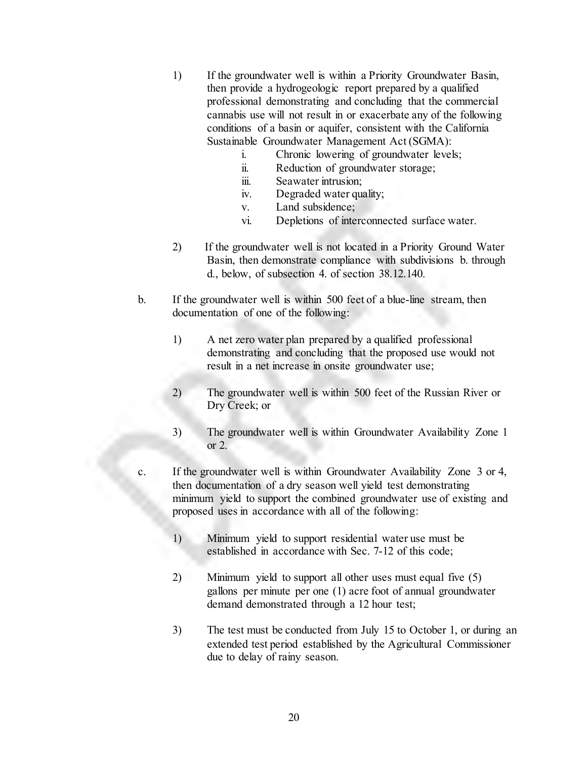- 1) If the groundwater well is within a Priority Groundwater Basin, then provide a hydrogeologic report prepared by a qualified professional demonstrating and concluding that the commercial cannabis use will not result in or exacerbate any of the following conditions of a basin or aquifer, consistent with the California Sustainable Groundwater Management Act (SGMA):
	- i. Chronic lowering of groundwater levels;
	- ii. Reduction of groundwater storage;
	- iii. Seawater intrusion;
	- iv. Degraded water quality;
	- v. Land subsidence;
	- vi. Depletions of interconnected surface water.
- 2) If the groundwater well is not located in a Priority Ground Water Basin, then demonstrate compliance with subdivisions b. through d., below, of subsection 4. of section 38.12.140.
- b. If the groundwater well is within 500 feet of a blue-line stream, then documentation of one of the following:
	- 1) A net zero water plan prepared by a qualified professional demonstrating and concluding that the proposed use would not result in a net increase in onsite groundwater use;
	- 2) The groundwater well is within 500 feet of the Russian River or Dry Creek; or
	- 3) The groundwater well is within Groundwater Availability Zone 1 or 2.
- c. If the groundwater well is within Groundwater Availability Zone 3 or 4, then documentation of a dry season well yield test demonstrating minimum yield to support the combined groundwater use of existing and proposed uses in accordance with all of the following:
	- 1) Minimum yield to support residential water use must be established in accordance with Sec. 7-12 of this code;
	- 2) Minimum yield to support all other uses must equal five (5) gallons per minute per one (1) acre foot of annual groundwater demand demonstrated through a 12 hour test;
	- 3) The test must be conducted from July 15 to October 1, or during an extended test period established by the Agricultural Commissioner due to delay of rainy season.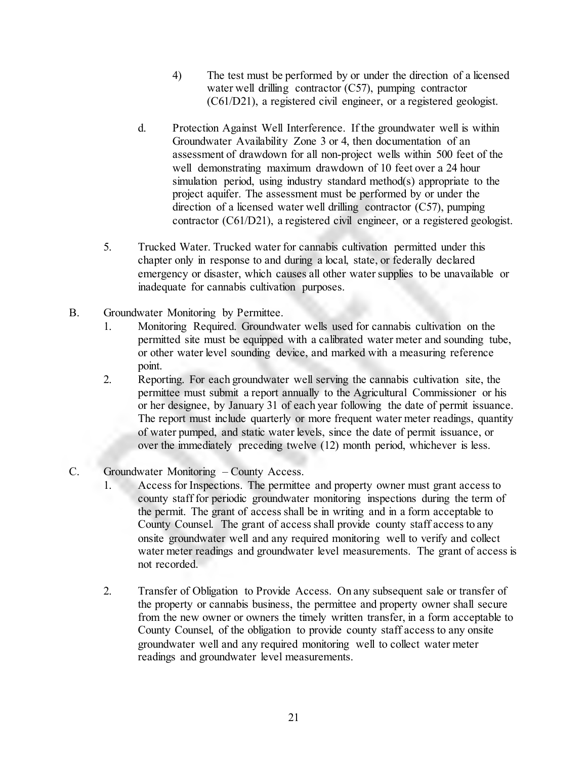- 4) The test must be performed by or under the direction of a licensed water well drilling contractor (C57), pumping contractor (C61/D21), a registered civil engineer, or a registered geologist.
- d. Protection Against Well Interference. If the groundwater well is within Groundwater Availability Zone 3 or 4, then documentation of an assessment of drawdown for all non-project wells within 500 feet of the well demonstrating maximum drawdown of 10 feet over a 24 hour simulation period, using industry standard method(s) appropriate to the project aquifer. The assessment must be performed by or under the direction of a licensed water well drilling contractor (C57), pumping contractor (C61/D21), a registered civil engineer, or a registered geologist.
- 5. Trucked Water. Trucked water for cannabis cultivation permitted under this chapter only in response to and during a local, state, or federally declared emergency or disaster, which causes all other water supplies to be unavailable or inadequate for cannabis cultivation purposes.
- B. Groundwater Monitoring by Permittee.
	- 1. Monitoring Required. Groundwater wells used for cannabis cultivation on the permitted site must be equipped with a calibrated water meter and sounding tube, or other water level sounding device, and marked with a measuring reference point.
	- 2. Reporting. For each groundwater well serving the cannabis cultivation site, the permittee must submit a report annually to the Agricultural Commissioner or his or her designee, by January 31 of each year following the date of permit issuance. The report must include quarterly or more frequent water meter readings, quantity of water pumped, and static water levels, since the date of permit issuance, or over the immediately preceding twelve (12) month period, whichever is less.
- C. Groundwater Monitoring County Access.
	- 1. Access for Inspections. The permittee and property owner must grant access to county staff for periodic groundwater monitoring inspections during the term of the permit. The grant of access shall be in writing and in a form acceptable to County Counsel. The grant of access shall provide county staff access to any onsite groundwater well and any required monitoring well to verify and collect water meter readings and groundwater level measurements. The grant of access is not recorded.
	- 2. Transfer of Obligation to Provide Access. On any subsequent sale or transfer of the property or cannabis business, the permittee and property owner shall secure from the new owner or owners the timely written transfer, in a form acceptable to County Counsel, of the obligation to provide county staff access to any onsite groundwater well and any required monitoring well to collect water meter readings and groundwater level measurements.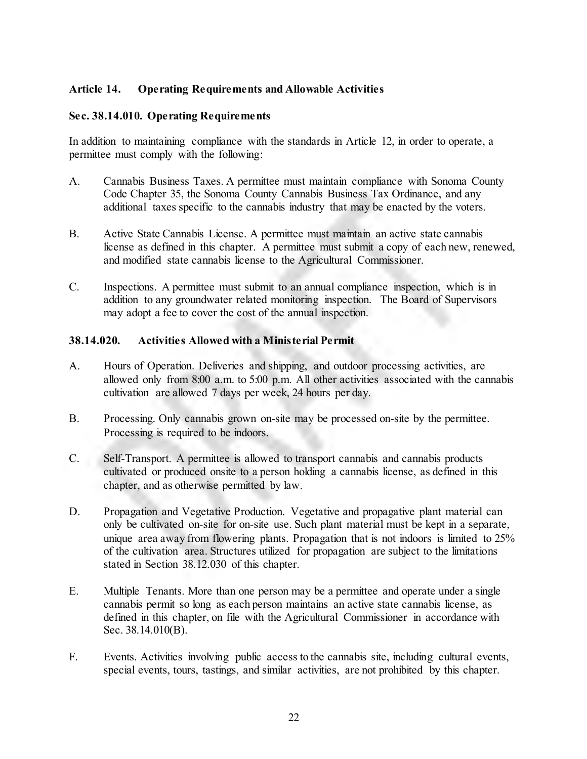### **Article 14. Operating Requirements and Allowable Activities**

### **Sec. 38.14.010. Operating Requirements**

In addition to maintaining compliance with the standards in Article 12, in order to operate, a permittee must comply with the following:

- A. Cannabis Business Taxes. A permittee must maintain compliance with Sonoma County Code Chapter 35, the Sonoma County Cannabis Business Tax Ordinance, and any additional taxes specific to the cannabis industry that may be enacted by the voters.
- B. Active State Cannabis License. A permittee must maintain an active state cannabis license as defined in this chapter. A permittee must submit a copy of each new, renewed, and modified state cannabis license to the Agricultural Commissioner.
- C. Inspections. A permittee must submit to an annual compliance inspection, which is in addition to any groundwater related monitoring inspection. The Board of Supervisors may adopt a fee to cover the cost of the annual inspection.

### **38.14.020. Activities Allowed with a Ministerial Permit**

- A. Hours of Operation. Deliveries and shipping, and outdoor processing activities, are allowed only from 8:00 a.m. to 5:00 p.m. All other activities associated with the cannabis cultivation are allowed 7 days per week, 24 hours per day.
- B. Processing. Only cannabis grown on-site may be processed on-site by the permittee. Processing is required to be indoors.
- C. Self-Transport. A permittee is allowed to transport cannabis and cannabis products cultivated or produced onsite to a person holding a cannabis license, as defined in this chapter, and as otherwise permitted by law.
- D. Propagation and Vegetative Production. Vegetative and propagative plant material can only be cultivated on-site for on-site use. Such plant material must be kept in a separate, unique area away from flowering plants. Propagation that is not indoors is limited to 25% of the cultivation area. Structures utilized for propagation are subject to the limitations stated in Section 38.12.030 of this chapter.
- E. Multiple Tenants. More than one person may be a permittee and operate under a single cannabis permit so long as each person maintains an active state cannabis license, as defined in this chapter, on file with the Agricultural Commissioner in accordance with Sec. 38.14.010(B).
- F. Events. Activities involving public access to the cannabis site, including cultural events, special events, tours, tastings, and similar activities, are not prohibited by this chapter.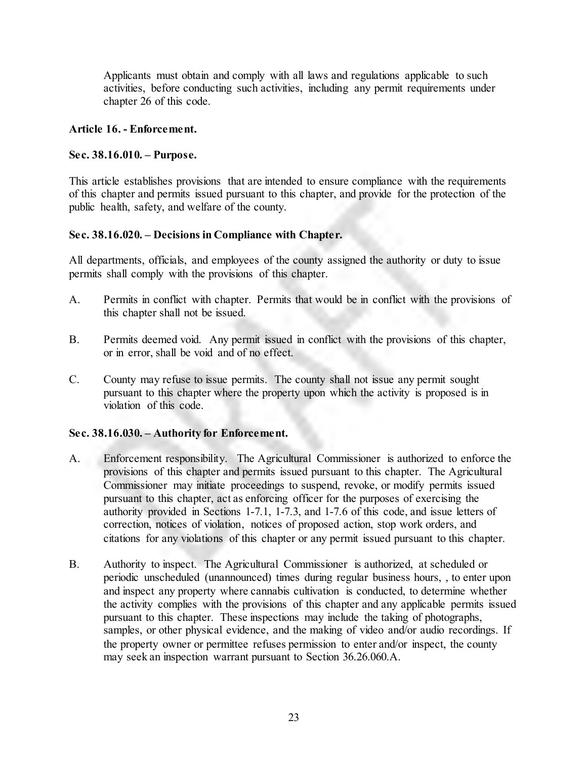Applicants must obtain and comply with all laws and regulations applicable to such activities, before conducting such activities, including any permit requirements under chapter 26 of this code.

### **Article 16. - Enforcement.**

### **Sec. 38.16.010. – Purpose.**

This article establishes provisions that are intended to ensure compliance with the requirements of this chapter and permits issued pursuant to this chapter, and provide for the protection of the public health, safety, and welfare of the county.

### **Sec. 38.16.020. – Decisions in Compliance with Chapter.**

All departments, officials, and employees of the county assigned the authority or duty to issue permits shall comply with the provisions of this chapter.

- A. Permits in conflict with chapter. Permits that would be in conflict with the provisions of this chapter shall not be issued.
- B. Permits deemed void. Any permit issued in conflict with the provisions of this chapter, or in error, shall be void and of no effect.
- C. County may refuse to issue permits. The county shall not issue any permit sought pursuant to this chapter where the property upon which the activity is proposed is in violation of this code.

### **Sec. 38.16.030. – Authority for Enforcement.**

- A. Enforcement responsibility. The Agricultural Commissioner is authorized to enforce the provisions of this chapter and permits issued pursuant to this chapter. The Agricultural Commissioner may initiate proceedings to suspend, revoke, or modify permits issued pursuant to this chapter, act as enforcing officer for the purposes of exercising the authority provided in Sections 1-7.1, 1-7.3, and 1-7.6 of this code, and issue letters of correction, notices of violation, notices of proposed action, stop work orders, and citations for any violations of this chapter or any permit issued pursuant to this chapter.
- B. Authority to inspect. The Agricultural Commissioner is authorized, at scheduled or periodic unscheduled (unannounced) times during regular business hours, , to enter upon and inspect any property where cannabis cultivation is conducted, to determine whether the activity complies with the provisions of this chapter and any applicable permits issued pursuant to this chapter. These inspections may include the taking of photographs, samples, or other physical evidence, and the making of video and/or audio recordings. If the property owner or permittee refuses permission to enter and/or inspect, the county may seek an inspection warrant pursuant to Section 36.26.060.A.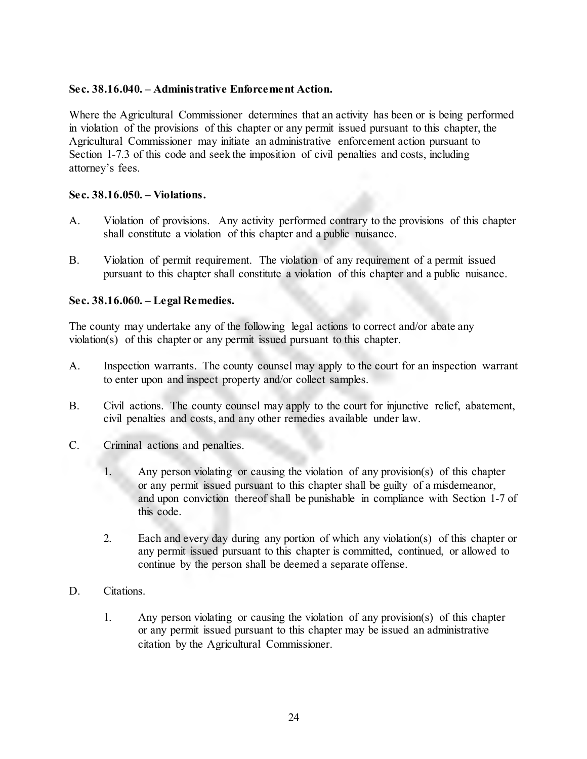### **Sec. 38.16.040. – Administrative Enforcement Action.**

Where the Agricultural Commissioner determines that an activity has been or is being performed in violation of the provisions of this chapter or any permit issued pursuant to this chapter, the Agricultural Commissioner may initiate an administrative enforcement action pursuant to Section 1-7.3 of this code and seek the imposition of civil penalties and costs, including attorney's fees.

### **Sec. 38.16.050. – Violations.**

- A. Violation of provisions. Any activity performed contrary to the provisions of this chapter shall constitute a violation of this chapter and a public nuisance.
- B. Violation of permit requirement. The violation of any requirement of a permit issued pursuant to this chapter shall constitute a violation of this chapter and a public nuisance.

### **Sec. 38.16.060. – Legal Remedies.**

The county may undertake any of the following legal actions to correct and/or abate any violation(s) of this chapter or any permit issued pursuant to this chapter.

- A. Inspection warrants. The county counsel may apply to the court for an inspection warrant to enter upon and inspect property and/or collect samples.
- B. Civil actions. The county counsel may apply to the court for injunctive relief, abatement, civil penalties and costs, and any other remedies available under law.
- C. Criminal actions and penalties.
	- 1. Any person violating or causing the violation of any provision(s) of this chapter or any permit issued pursuant to this chapter shall be guilty of a misdemeanor, and upon conviction thereof shall be punishable in compliance with Section 1-7 of this code.
	- 2. Each and every day during any portion of which any violation(s) of this chapter or any permit issued pursuant to this chapter is committed, continued, or allowed to continue by the person shall be deemed a separate offense.
- D. Citations.
	- 1. Any person violating or causing the violation of any provision(s) of this chapter or any permit issued pursuant to this chapter may be issued an administrative citation by the Agricultural Commissioner.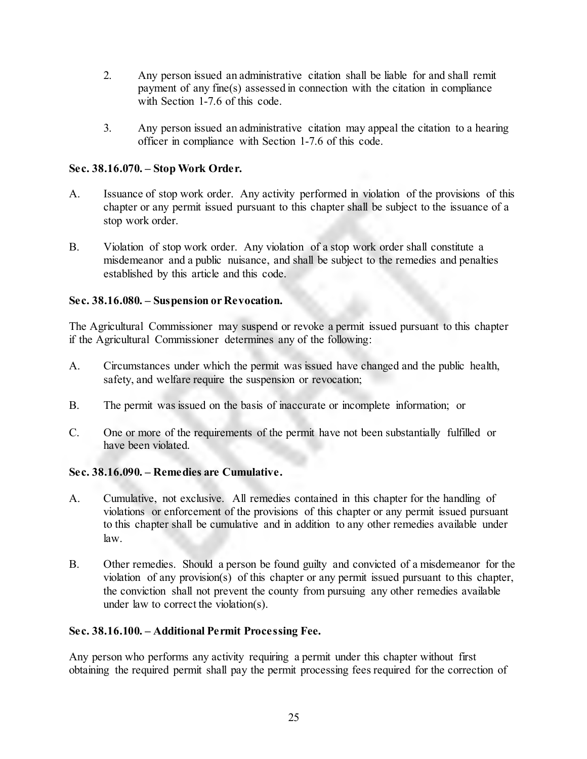- 2. Any person issued an administrative citation shall be liable for and shall remit payment of any fine(s) assessed in connection with the citation in compliance with Section 1-7.6 of this code.
- 3. Any person issued an administrative citation may appeal the citation to a hearing officer in compliance with Section 1-7.6 of this code.

## **Sec. 38.16.070. – Stop Work Order.**

- A. Issuance of stop work order. Any activity performed in violation of the provisions of this chapter or any permit issued pursuant to this chapter shall be subject to the issuance of a stop work order.
- B. Violation of stop work order. Any violation of a stop work order shall constitute a misdemeanor and a public nuisance, and shall be subject to the remedies and penalties established by this article and this code.

# **Sec. 38.16.080. – Suspension or Revocation.**

The Agricultural Commissioner may suspend or revoke a permit issued pursuant to this chapter if the Agricultural Commissioner determines any of the following:

- A. Circumstances under which the permit was issued have changed and the public health, safety, and welfare require the suspension or revocation;
- B. The permit was issued on the basis of inaccurate or incomplete information; or
- C. One or more of the requirements of the permit have not been substantially fulfilled or have been violated.

## **Sec. 38.16.090. – Remedies are Cumulative.**

- A. Cumulative, not exclusive. All remedies contained in this chapter for the handling of violations or enforcement of the provisions of this chapter or any permit issued pursuant to this chapter shall be cumulative and in addition to any other remedies available under law.
- B. Other remedies. Should a person be found guilty and convicted of a misdemeanor for the violation of any provision(s) of this chapter or any permit issued pursuant to this chapter, the conviction shall not prevent the county from pursuing any other remedies available under law to correct the violation(s).

## **Sec. 38.16.100. – Additional Permit Processing Fee.**

Any person who performs any activity requiring a permit under this chapter without first obtaining the required permit shall pay the permit processing fees required for the correction of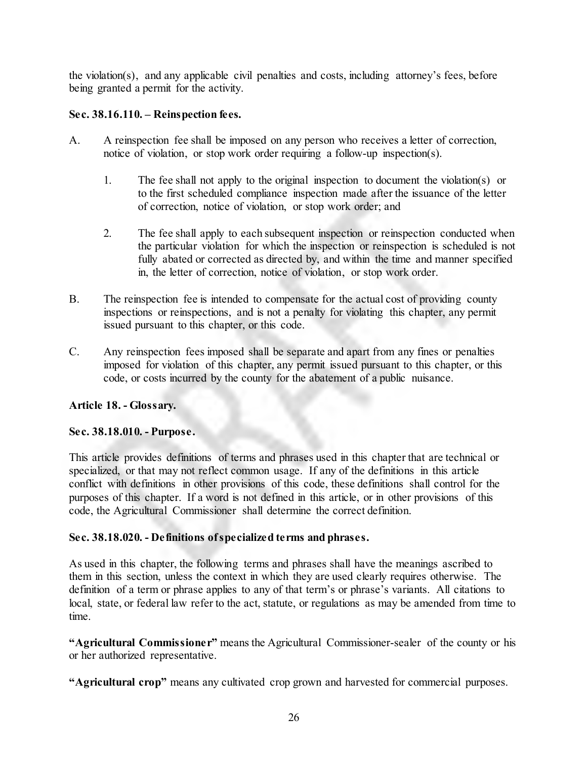the violation(s), and any applicable civil penalties and costs, including attorney's fees, before being granted a permit for the activity.

## **Sec. 38.16.110. – Reinspection fees.**

- A. A reinspection fee shall be imposed on any person who receives a letter of correction, notice of violation, or stop work order requiring a follow-up inspection(s).
	- 1. The fee shall not apply to the original inspection to document the violation(s) or to the first scheduled compliance inspection made after the issuance of the letter of correction, notice of violation, or stop work order; and
	- 2. The fee shall apply to each subsequent inspection or reinspection conducted when the particular violation for which the inspection or reinspection is scheduled is not fully abated or corrected as directed by, and within the time and manner specified in, the letter of correction, notice of violation, or stop work order.
- B. The reinspection fee is intended to compensate for the actual cost of providing county inspections or reinspections, and is not a penalty for violating this chapter, any permit issued pursuant to this chapter, or this code.
- C. Any reinspection fees imposed shall be separate and apart from any fines or penalties imposed for violation of this chapter, any permit issued pursuant to this chapter, or this code, or costs incurred by the county for the abatement of a public nuisance.

## **Article 18. - Glossary.**

## **Sec. 38.18.010. - Purpose.**

This article provides definitions of terms and phrases used in this chapter that are technical or specialized, or that may not reflect common usage. If any of the definitions in this article conflict with definitions in other provisions of this code, these definitions shall control for the purposes of this chapter. If a word is not defined in this article, or in other provisions of this code, the Agricultural Commissioner shall determine the correct definition.

## **Sec. 38.18.020. - Definitions of specialized terms and phrases.**

As used in this chapter, the following terms and phrases shall have the meanings ascribed to them in this section, unless the context in which they are used clearly requires otherwise. The definition of a term or phrase applies to any of that term's or phrase's variants. All citations to local, state, or federal law refer to the act, statute, or regulations as may be amended from time to time.

**"Agricultural Commissioner"** means the Agricultural Commissioner-sealer of the county or his or her authorized representative.

**"Agricultural crop"** means any cultivated crop grown and harvested for commercial purposes.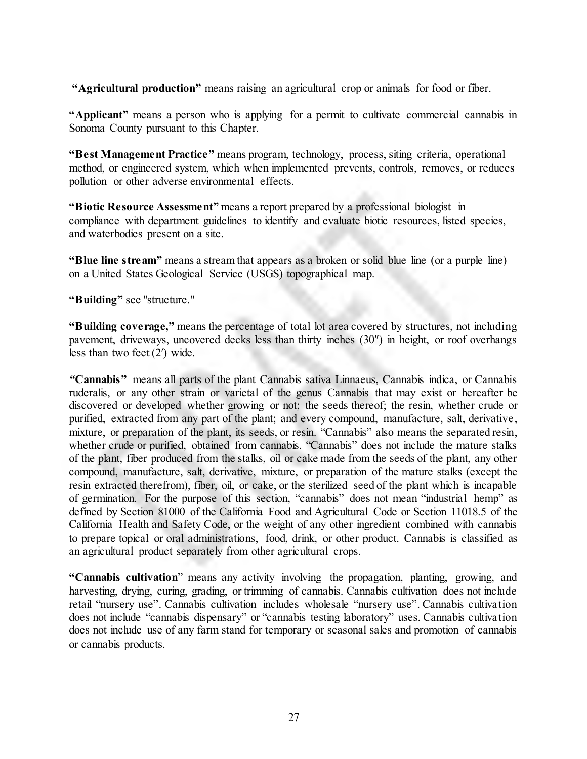**"Agricultural production"** means raising an agricultural crop or animals for food or fiber.

**"Applicant"** means a person who is applying for a permit to cultivate commercial cannabis in Sonoma County pursuant to this Chapter.

**"Best Management Practice"** means program, technology, process, siting criteria, operational method, or engineered system, which when implemented prevents, controls, removes, or reduces pollution or other adverse environmental effects.

**"Biotic Resource Assessment"** means a report prepared by a professional biologist in compliance with department guidelines to identify and evaluate biotic resources, listed species, and waterbodies present on a site.

**"Blue line stream"** means a stream that appears as a broken or solid blue line (or a purple line) on a United States Geological Service (USGS) topographical map.

**"Building"** see "structure."

**"Building coverage,"** means the percentage of total lot area covered by structures, not including pavement, driveways, uncovered decks less than thirty inches (30″) in height, or roof overhangs less than two feet (2′) wide.

*"***Cannabis"** means all parts of the plant Cannabis sativa Linnaeus, Cannabis indica, or Cannabis ruderalis, or any other strain or varietal of the genus Cannabis that may exist or hereafter be discovered or developed whether growing or not; the seeds thereof; the resin, whether crude or purified, extracted from any part of the plant; and every compound, manufacture, salt, derivative, mixture, or preparation of the plant, its seeds, or resin. "Cannabis" also means the separated resin, whether crude or purified, obtained from cannabis. "Cannabis" does not include the mature stalks of the plant, fiber produced from the stalks, oil or cake made from the seeds of the plant, any other compound, manufacture, salt, derivative, mixture, or preparation of the mature stalks (except the resin extracted therefrom), fiber, oil, or cake, or the sterilized seed of the plant which is incapable of germination. For the purpose of this section, "cannabis" does not mean "industrial hemp" as defined by Section 81000 of the California Food and Agricultural Code or Section 11018.5 of the California Health and Safety Code, or the weight of any other ingredient combined with cannabis to prepare topical or oral administrations, food, drink, or other product. Cannabis is classified as an agricultural product separately from other agricultural crops.

**"Cannabis cultivation**" means any activity involving the propagation, planting, growing, and harvesting, drying, curing, grading, or trimming of cannabis. Cannabis cultivation does not include retail "nursery use". Cannabis cultivation includes wholesale "nursery use". Cannabis cultivation does not include "cannabis dispensary" or "cannabis testing laboratory" uses. Cannabis cultivation does not include use of any farm stand for temporary or seasonal sales and promotion of cannabis or cannabis products.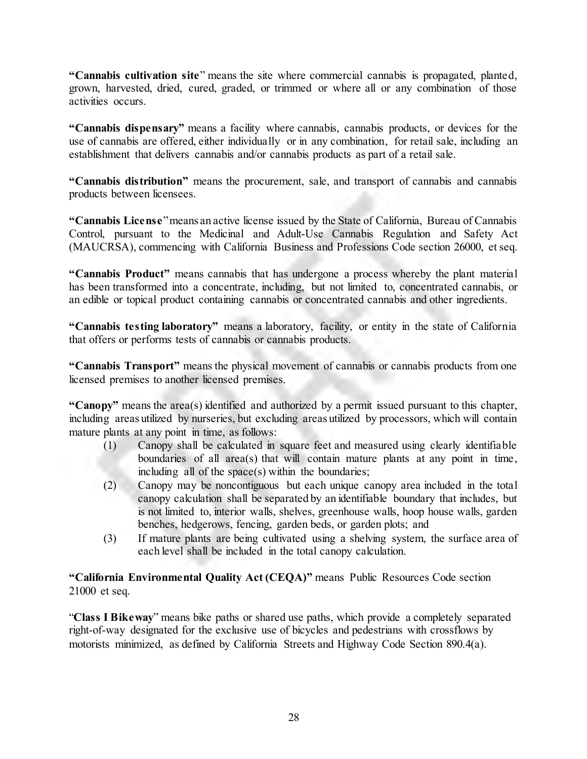**"Cannabis cultivation site**" means the site where commercial cannabis is propagated, planted, grown, harvested, dried, cured, graded, or trimmed or where all or any combination of those activities occurs.

**"Cannabis dispensary"** means a facility where cannabis, cannabis products, or devices for the use of cannabis are offered, either individually or in any combination, for retail sale, including an establishment that delivers cannabis and/or cannabis products as part of a retail sale.

**"Cannabis distribution"** means the procurement, sale, and transport of cannabis and cannabis products between licensees.

**"Cannabis License**" means an active license issued by the State of California, Bureau of Cannabis Control, pursuant to the Medicinal and Adult-Use Cannabis Regulation and Safety Act (MAUCRSA), commencing with California Business and Professions Code section 26000, et seq.

**"Cannabis Product"** means cannabis that has undergone a process whereby the plant material has been transformed into a concentrate, including, but not limited to, concentrated cannabis, or an edible or topical product containing cannabis or concentrated cannabis and other ingredients.

**"Cannabis testing laboratory"** means a laboratory, facility, or entity in the state of California that offers or performs tests of cannabis or cannabis products.

**"Cannabis Transport"** means the physical movement of cannabis or cannabis products from one licensed premises to another licensed premises.

**"Canopy"** means the area(s) identified and authorized by a permit issued pursuant to this chapter, including areas utilized by nurseries, but excluding areas utilized by processors, which will contain mature plants at any point in time, as follows:

- (1) Canopy shall be calculated in square feet and measured using clearly identifiable boundaries of all area(s) that will contain mature plants at any point in time, including all of the space(s) within the boundaries;
- (2) Canopy may be noncontiguous but each unique canopy area included in the total canopy calculation shall be separated by an identifiable boundary that includes, but is not limited to, interior walls, shelves, greenhouse walls, hoop house walls, garden benches, hedgerows, fencing, garden beds, or garden plots; and
- (3) If mature plants are being cultivated using a shelving system, the surface area of each level shall be included in the total canopy calculation.

# **"California Environmental Quality Act (CEQA)"** means Public Resources Code section 21000 et seq.

"**Class I Bikeway**" means bike paths or shared use paths, which provide a completely separated right-of-way designated for the exclusive use of bicycles and pedestrians with crossflows by motorists minimized, as defined by California Streets and Highway Code Section 890.4(a).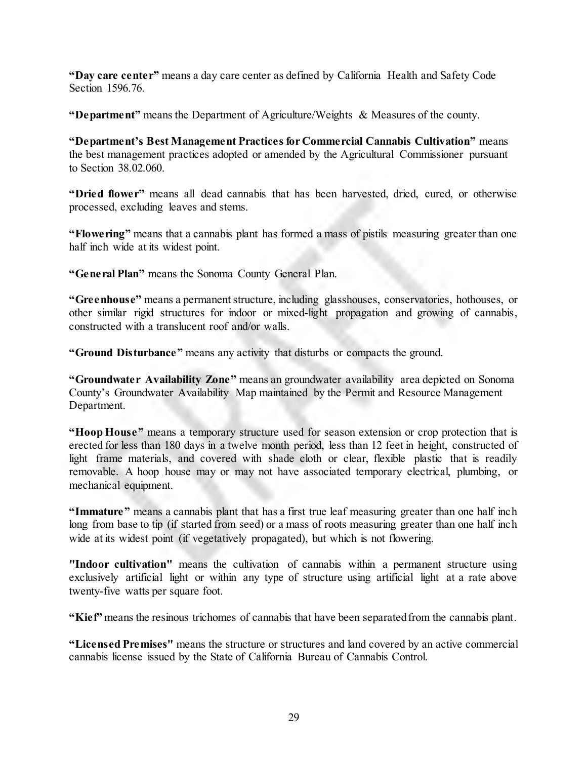**"Day care center"** means a day care center as defined by California Health and Safety Code Section 1596.76.

**"Department"** means the Department of Agriculture/Weights & Measures of the county.

**"Department's Best Management Practices for Commercial Cannabis Cultivation"** means the best management practices adopted or amended by the Agricultural Commissioner pursuant to Section 38.02.060.

**"Dried flower"** means all dead cannabis that has been harvested, dried, cured, or otherwise processed, excluding leaves and stems.

**"Flowering"** means that a cannabis plant has formed a mass of pistils measuring greater than one half inch wide at its widest point.

**"General Plan"** means the Sonoma County General Plan.

**"Greenhouse"** means a permanent structure, including glasshouses, conservatories, hothouses, or other similar rigid structures for indoor or mixed-light propagation and growing of cannabis, constructed with a translucent roof and/or walls.

**"Ground Disturbance"** means any activity that disturbs or compacts the ground.

**"Groundwater Availability Zone"** means an groundwater availability area depicted on Sonoma County's Groundwater Availability Map maintained by the Permit and Resource Management Department.

**"Hoop House"** means a temporary structure used for season extension or crop protection that is erected for less than 180 days in a twelve month period, less than 12 feet in height, constructed of light frame materials, and covered with shade cloth or clear, flexible plastic that is readily removable. A hoop house may or may not have associated temporary electrical, plumbing, or mechanical equipment.

**"Immature"** means a cannabis plant that has a first true leaf measuring greater than one half inch long from base to tip (if started from seed) or a mass of roots measuring greater than one half inch wide at its widest point (if vegetatively propagated), but which is not flowering.

**"Indoor cultivation"** means the cultivation of cannabis within a permanent structure using exclusively artificial light or within any type of structure using artificial light at a rate above twenty-five watts per square foot.

**"Kief"** means the resinous trichomes of cannabis that have been separated from the cannabis plant.

**"Licensed Premises"** means the structure or structures and land covered by an active commercial cannabis license issued by the State of California Bureau of Cannabis Control.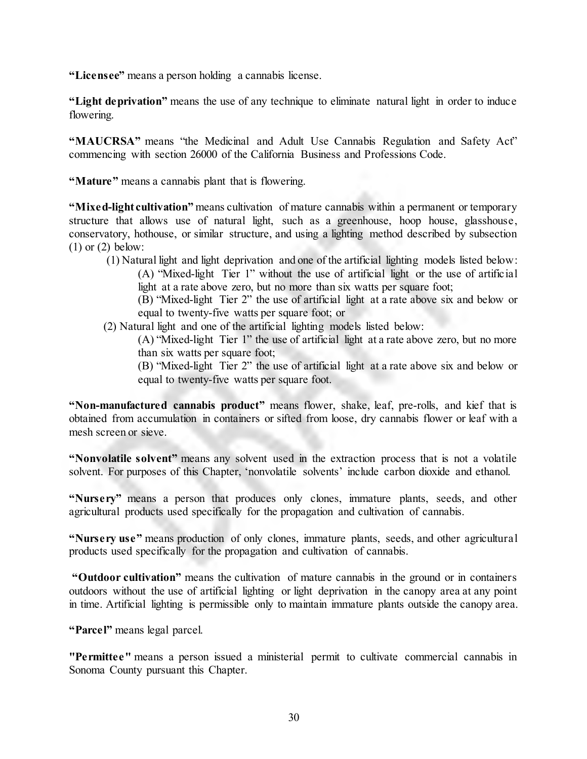**"Licensee"** means a person holding a cannabis license.

**"Light deprivation"** means the use of any technique to eliminate natural light in order to induce flowering.

**"MAUCRSA"** means "the Medicinal and Adult Use Cannabis Regulation and Safety Act" commencing with section 26000 of the California Business and Professions Code.

**"Mature"** means a cannabis plant that is flowering.

**"Mixed-light cultivation"** means cultivation of mature cannabis within a permanent or temporary structure that allows use of natural light, such as a greenhouse, hoop house, glasshouse, conservatory, hothouse, or similar structure, and using a lighting method described by subsection  $(1)$  or  $(2)$  below:

- (1) Natural light and light deprivation and one of the artificial lighting models listed below: (A) "Mixed-light Tier 1" without the use of artificial light or the use of artificial light at a rate above zero, but no more than six watts per square foot;
	- (B) "Mixed-light Tier 2" the use of artificial light at a rate above six and below or equal to twenty-five watts per square foot; or
- (2) Natural light and one of the artificial lighting models listed below:
	- (A) "Mixed-light Tier 1" the use of artificial light at a rate above zero, but no more than six watts per square foot;
	- (B) "Mixed-light Tier 2" the use of artificial light at a rate above six and below or equal to twenty-five watts per square foot.

**"Non-manufactured cannabis product"** means flower, shake, leaf, pre-rolls, and kief that is obtained from accumulation in containers or sifted from loose, dry cannabis flower or leaf with a mesh screen or sieve.

**"Nonvolatile solvent"** means any solvent used in the extraction process that is not a volatile solvent. For purposes of this Chapter, 'nonvolatile solvents' include carbon dioxide and ethanol.

**"Nursery"** means a person that produces only clones, immature plants, seeds, and other agricultural products used specifically for the propagation and cultivation of cannabis.

**"Nursery use"** means production of only clones, immature plants, seeds, and other agricultural products used specifically for the propagation and cultivation of cannabis.

**"Outdoor cultivation"** means the cultivation of mature cannabis in the ground or in containers outdoors without the use of artificial lighting or light deprivation in the canopy area at any point in time. Artificial lighting is permissible only to maintain immature plants outside the canopy area.

**"Parcel"** means legal parcel.

**"Permittee"** means a person issued a ministerial permit to cultivate commercial cannabis in Sonoma County pursuant this Chapter.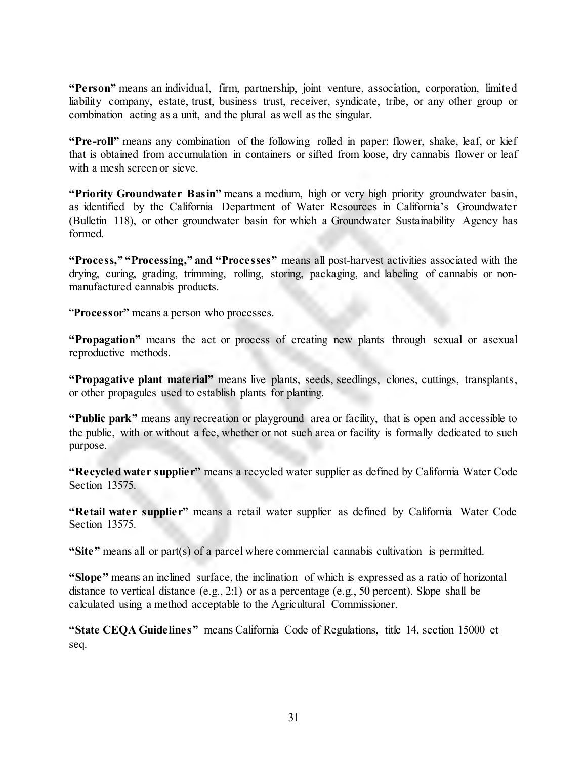**"Person"** means an individual, firm, partnership, joint venture, association, corporation, limited liability company, estate, trust, business trust, receiver, syndicate, tribe, or any other group or combination acting as a unit, and the plural as well as the singular.

**"Pre-roll"** means any combination of the following rolled in paper: flower, shake, leaf, or kief that is obtained from accumulation in containers or sifted from loose, dry cannabis flower or leaf with a mesh screen or sieve.

**"Priority Groundwater Basin"** means a medium, high or very high priority groundwater basin, as identified by the California Department of Water Resources in California's Groundwater (Bulletin 118), or other groundwater basin for which a Groundwater Sustainability Agency has formed.

**"Process," "Processing," and "Processes"** means all post-harvest activities associated with the drying, curing, grading, trimming, rolling, storing, packaging, and labeling of cannabis or nonmanufactured cannabis products.

"**Processor"** means a person who processes.

**"Propagation"** means the act or process of creating new plants through sexual or asexual reproductive methods.

**"Propagative plant material"** means live plants, seeds, seedlings, clones, cuttings, transplants, or other propagules used to establish plants for planting.

**"Public park"** means any recreation or playground area or facility, that is open and accessible to the public, with or without a fee, whether or not such area or facility is formally dedicated to such purpose.

**"Recycled water supplier"** means a recycled water supplier as defined by California Water Code Section 13575.

**"Retail water supplier"** means a retail water supplier as defined by California Water Code Section 13575.

**"Site"** means all or part(s) of a parcel where commercial cannabis cultivation is permitted.

**"Slope"** means an inclined surface, the inclination of which is expressed as a ratio of horizontal distance to vertical distance (e.g., 2:1) or as a percentage (e.g., 50 percent). Slope shall be calculated using a method acceptable to the Agricultural Commissioner.

**"State CEQA Guidelines"** means California Code of Regulations, title 14, section 15000 et seq.